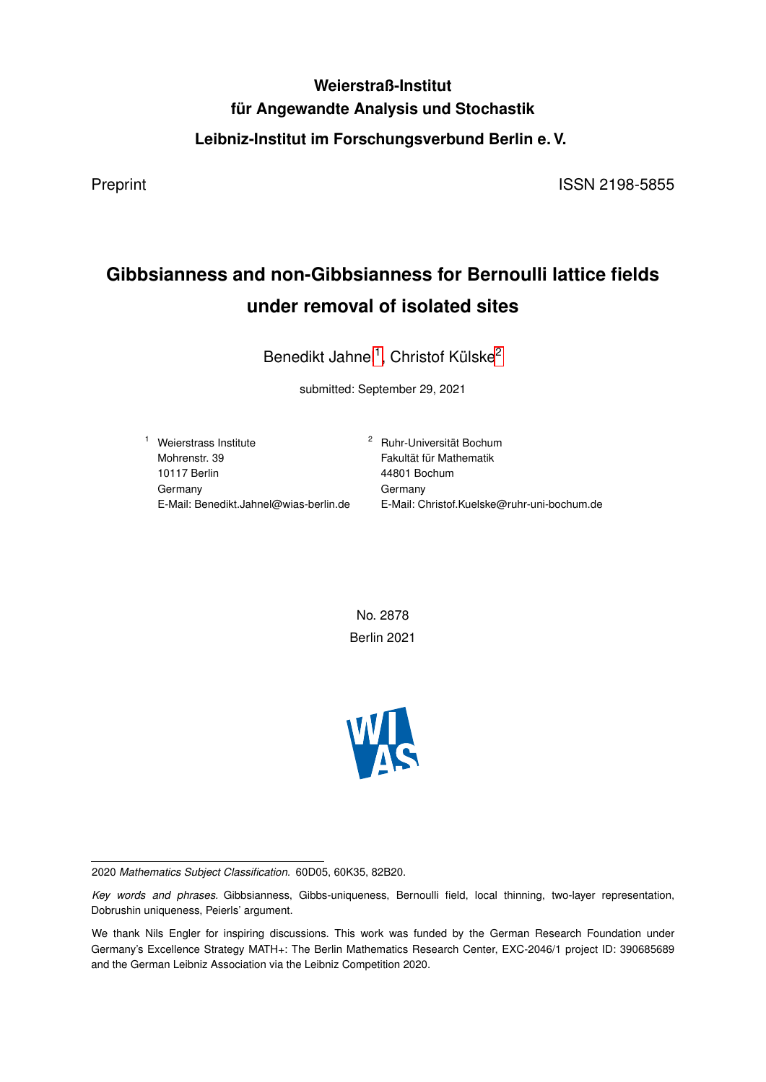# **Weierstraß-Institut für Angewandte Analysis und Stochastik Leibniz-Institut im Forschungsverbund Berlin e. V.**

Preprint ISSN 2198-5855

# **Gibbsianness and non-Gibbsianness for Bernoulli lattice fields under removal of isolated sites**

Benedikt Jahnel<sup>1</sup>, Christof Külske<sup>2</sup>

submitted: September 29, 2021

<sup>1</sup> Weierstrass Institute Mohrenstr. 39 10117 Berlin Germany E-Mail: Benedikt.Jahnel@wias-berlin.de <sup>2</sup> Ruhr-Universität Bochum Fakultät für Mathematik 44801 Bochum Germany E-Mail: Christof.Kuelske@ruhr-uni-bochum.de

No. 2878 Berlin 2021



2020 *Mathematics Subject Classification.* 60D05, 60K35, 82B20.

*Key words and phrases.* Gibbsianness, Gibbs-uniqueness, Bernoulli field, local thinning, two-layer representation, Dobrushin uniqueness, Peierls' argument.

We thank Nils Engler for inspiring discussions. This work was funded by the German Research Foundation under Germany's Excellence Strategy MATH+: The Berlin Mathematics Research Center, EXC-2046/1 project ID: 390685689 and the German Leibniz Association via the Leibniz Competition 2020.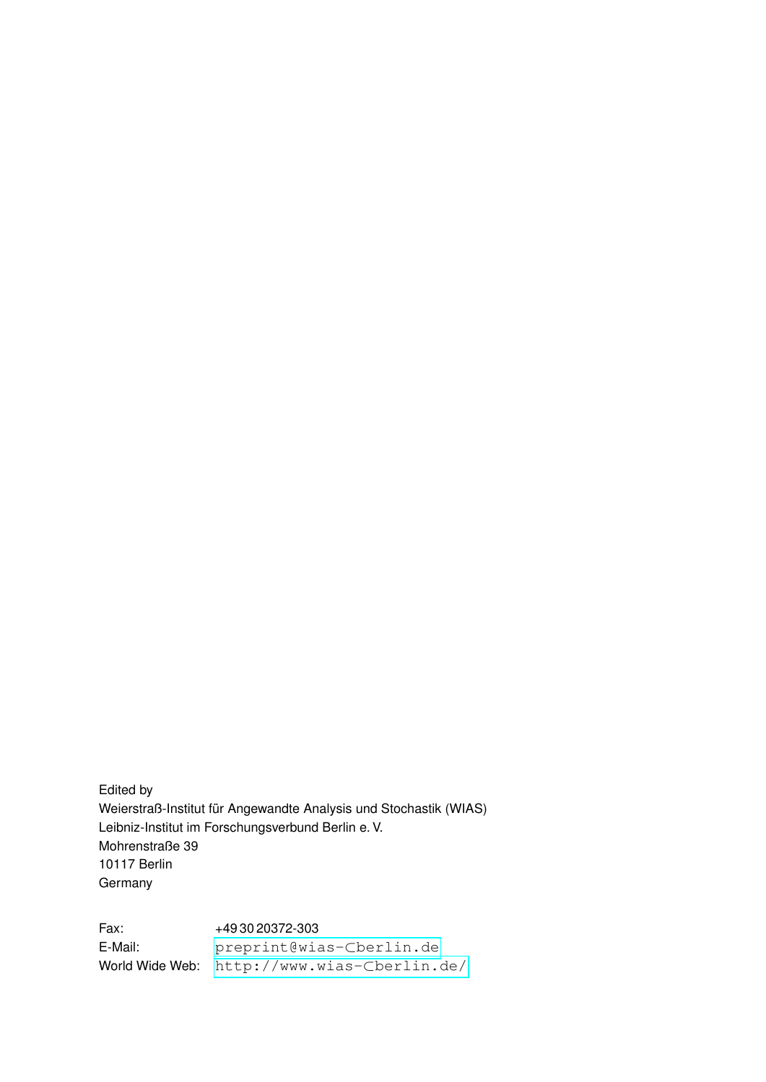Edited by Weierstraß-Institut für Angewandte Analysis und Stochastik (WIAS) Leibniz-Institut im Forschungsverbund Berlin e. V. Mohrenstraße 39 10117 Berlin Germany

Fax: +49 30 20372-303 E-Mail: [preprint@wias-](preprint@wias-berlin.de)⊂berlin.de World Wide Web: [http://www.wias-](http://www.wias-berlin.de/)⊂berlin.de/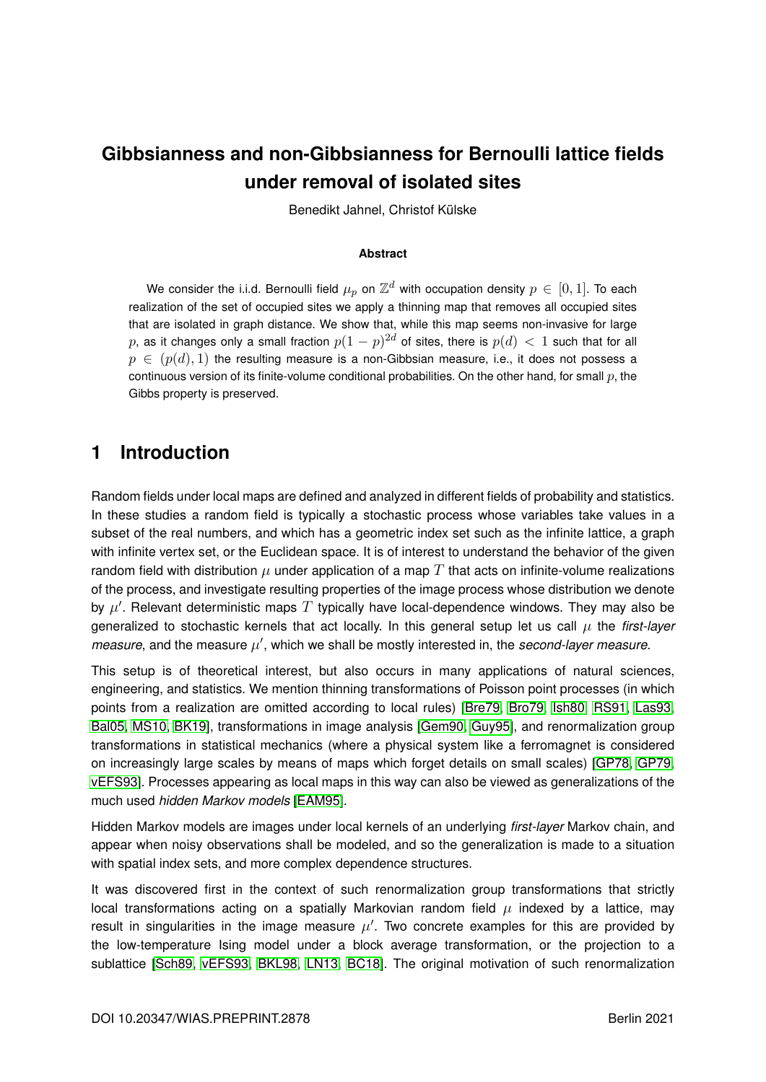# **Gibbsianness and non-Gibbsianness for Bernoulli lattice fields under removal of isolated sites**

Benedikt Jahnel, Christof Külske

### **Abstract**

We consider the i.i.d. Bernoulli field  $\mu_p$  on  $\mathbb{Z}^d$  with occupation density  $p\,\in\,[0,1].$  To each realization of the set of occupied sites we apply a thinning map that removes all occupied sites that are isolated in graph distance. We show that, while this map seems non-invasive for large  $p$ , as it changes only a small fraction  $p(1-p)^{2d}$  of sites, there is  $p(d)\,<\,1$  such that for all  $p \in (p(d), 1)$  the resulting measure is a non-Gibbsian measure, i.e., it does not possess a continuous version of its finite-volume conditional probabilities. On the other hand, for small  $p$ , the Gibbs property is preserved.

## **1 Introduction**

Random fields under local maps are defined and analyzed in different fields of probability and statistics. In these studies a random field is typically a stochastic process whose variables take values in a subset of the real numbers, and which has a geometric index set such as the infinite lattice, a graph with infinite vertex set, or the Euclidean space. It is of interest to understand the behavior of the given random field with distribution  $\mu$  under application of a map T that acts on infinite-volume realizations of the process, and investigate resulting properties of the image process whose distribution we denote by  $\mu'$ . Relevant deterministic maps  $T$  typically have local-dependence windows. They may also be generalized to stochastic kernels that act locally. In this general setup let us call µ the *first-layer measure*, and the measure  $\mu'$ , which we shall be mostly interested in, the *second-layer measure*.

This setup is of theoretical interest, but also occurs in many applications of natural sciences, engineering, and statistics. We mention thinning transformations of Poisson point processes (in which points from a realization are omitted according to local rules) [\[Bre79,](#page-18-0) [Bro79,](#page-18-1) [Ish80,](#page-19-0) [RS91,](#page-20-0) [Las93,](#page-19-1) [Bal05,](#page-18-2) [MS10,](#page-20-1) [BK19\]](#page-18-3), transformations in image analysis [\[Gem90,](#page-18-4) [Guy95\]](#page-19-2), and renormalization group transformations in statistical mechanics (where a physical system like a ferromagnet is considered on increasingly large scales by means of maps which forget details on small scales) [\[GP78,](#page-18-5) [GP79,](#page-18-6) [vEFS93\]](#page-20-2). Processes appearing as local maps in this way can also be viewed as generalizations of the much used *hidden Markov models* [\[EAM95\]](#page-18-7).

Hidden Markov models are images under local kernels of an underlying *first-layer* Markov chain, and appear when noisy observations shall be modeled, and so the generalization is made to a situation with spatial index sets, and more complex dependence structures.

It was discovered first in the context of such renormalization group transformations that strictly local transformations acting on a spatially Markovian random field  $\mu$  indexed by a lattice, may result in singularities in the image measure  $\mu'$ . Two concrete examples for this are provided by the low-temperature Ising model under a block average transformation, or the projection to a sublattice [\[Sch89,](#page-20-3) [vEFS93,](#page-20-2) [BKL98,](#page-18-8) [LN13,](#page-19-3) [BC18\]](#page-18-9). The original motivation of such renormalization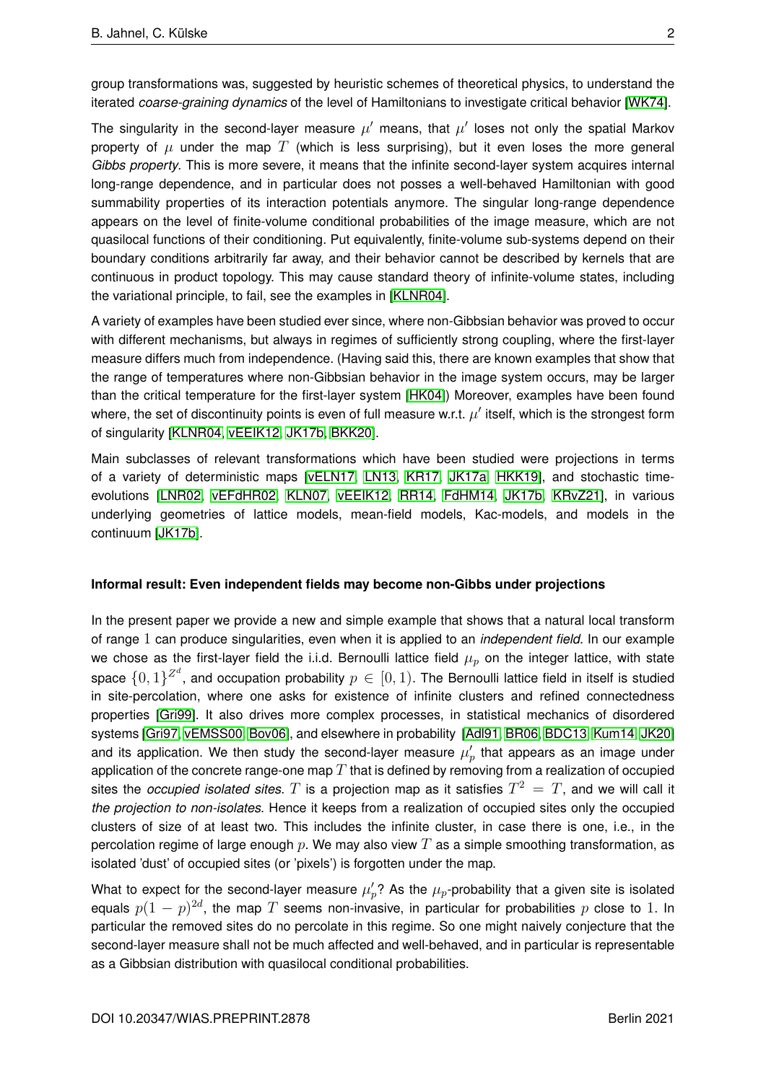group transformations was, suggested by heuristic schemes of theoretical physics, to understand the iterated *coarse-graining dynamics* of the level of Hamiltonians to investigate critical behavior [\[WK74\]](#page-20-4).

The singularity in the second-layer measure  $\mu'$  means, that  $\mu'$  loses not only the spatial Markov property of  $\mu$  under the map T (which is less surprising), but it even loses the more general *Gibbs property*. This is more severe, it means that the infinite second-layer system acquires internal long-range dependence, and in particular does not posses a well-behaved Hamiltonian with good summability properties of its interaction potentials anymore. The singular long-range dependence appears on the level of finite-volume conditional probabilities of the image measure, which are not quasilocal functions of their conditioning. Put equivalently, finite-volume sub-systems depend on their boundary conditions arbitrarily far away, and their behavior cannot be described by kernels that are continuous in product topology. This may cause standard theory of infinite-volume states, including the variational principle, to fail, see the examples in [\[KLNR04\]](#page-19-4).

A variety of examples have been studied ever since, where non-Gibbsian behavior was proved to occur with different mechanisms, but always in regimes of sufficiently strong coupling, where the first-layer measure differs much from independence. (Having said this, there are known examples that show that the range of temperatures where non-Gibbsian behavior in the image system occurs, may be larger than the critical temperature for the first-layer system [\[HK04\]](#page-19-5)) Moreover, examples have been found where, the set of discontinuity points is even of full measure w.r.t.  $\mu'$  itself, which is the strongest form of singularity [\[KLNR04,](#page-19-4) [vEEIK12,](#page-20-5) [JK17b,](#page-19-6) [BKK20\]](#page-18-10).

Main subclasses of relevant transformations which have been studied were projections in terms of a variety of deterministic maps [\[vELN17,](#page-20-6) [LN13,](#page-19-3) [KR17,](#page-19-7) [JK17a,](#page-19-8) [HKK19\]](#page-19-9), and stochastic timeevolutions [\[LNR02,](#page-19-10) [vEFdHR02,](#page-20-7) [KLN07,](#page-19-11) [vEEIK12,](#page-20-5) [RR14,](#page-20-8) [FdHM14,](#page-18-11) [JK17b,](#page-19-6) [KRvZ21\]](#page-19-12), in various underlying geometries of lattice models, mean-field models, Kac-models, and models in the continuum [\[JK17b\]](#page-19-6).

### **Informal result: Even independent fields may become non-Gibbs under projections**

In the present paper we provide a new and simple example that shows that a natural local transform of range 1 can produce singularities, even when it is applied to an *independent field*. In our example we chose as the first-layer field the i.i.d. Bernoulli lattice field  $\mu_p$  on the integer lattice, with state space  $\{0,1\}^{Z^d}$ , and occupation probability  $p\in[0,1)$ . The Bernoulli lattice field in itself is studied in site-percolation, where one asks for existence of infinite clusters and refined connectedness properties [\[Gri99\]](#page-19-13). It also drives more complex processes, in statistical mechanics of disordered systems [\[Gri97,](#page-19-14) [vEMSS00,](#page-20-9) [Bov06\]](#page-18-12), and elsewhere in probability [\[Adl91,](#page-18-13) [BR06,](#page-18-14) [BDC13,](#page-18-15) [Kum14,](#page-19-15) [JK20\]](#page-19-16) and its application. We then study the second-layer measure  $\mu_p'$  that appears as an image under application of the concrete range-one map  $T$  that is defined by removing from a realization of occupied sites the *occupied isolated sites.*  $T$  is a projection map as it satisfies  $T^2 = T$ , and we will call it *the projection to non-isolates*. Hence it keeps from a realization of occupied sites only the occupied clusters of size of at least two. This includes the infinite cluster, in case there is one, i.e., in the percolation regime of large enough  $p$ . We may also view  $T$  as a simple smoothing transformation, as isolated 'dust' of occupied sites (or 'pixels') is forgotten under the map.

What to expect for the second-layer measure  $\mu'_p$ ? As the  $\mu_p$ -probability that a given site is isolated equals  $p(1-p)^{2d}$ , the map  $T$  seems non-invasive, in particular for probabilities  $p$  close to 1. In particular the removed sites do no percolate in this regime. So one might naively conjecture that the second-layer measure shall not be much affected and well-behaved, and in particular is representable as a Gibbsian distribution with quasilocal conditional probabilities.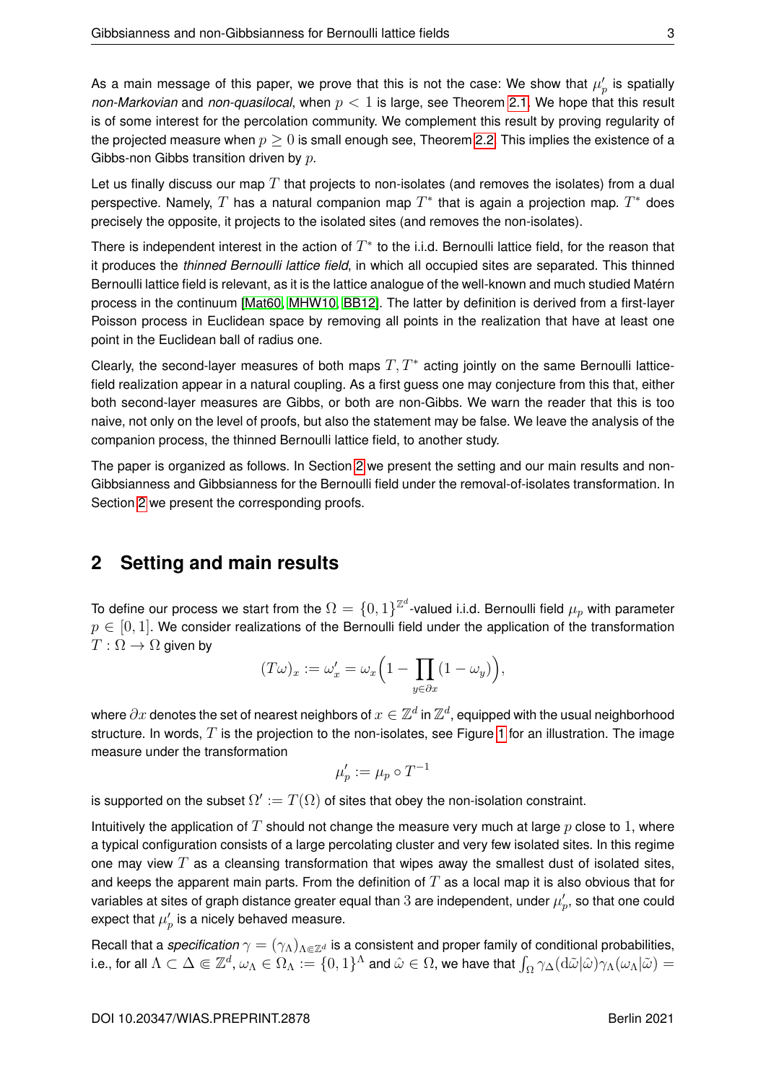As a main message of this paper, we prove that this is not the case: We show that  $\mu_p'$  is spatially *non-Markovian* and *non-quasilocal*, when p < 1 is large, see Theorem [2.1.](#page-5-0) We hope that this result is of some interest for the percolation community. We complement this result by proving regularity of the projected measure when  $p \geq 0$  is small enough see, Theorem [2.2.](#page-5-1) This implies the existence of a Gibbs-non Gibbs transition driven by p.

Let us finally discuss our map  $T$  that projects to non-isolates (and removes the isolates) from a dual perspective. Namely,  $T$  has a natural companion map  $T^*$  that is again a projection map.  $T^*$  does precisely the opposite, it projects to the isolated sites (and removes the non-isolates).

There is independent interest in the action of  $T^*$  to the i.i.d. Bernoulli lattice field, for the reason that it produces the *thinned Bernoulli lattice field*, in which all occupied sites are separated. This thinned Bernoulli lattice field is relevant, as it is the lattice analogue of the well-known and much studied Matérn process in the continuum [\[Mat60,](#page-19-17) [MHW10,](#page-19-18) [BB12\]](#page-18-16). The latter by definition is derived from a first-layer Poisson process in Euclidean space by removing all points in the realization that have at least one point in the Euclidean ball of radius one.

Clearly, the second-layer measures of both maps  $T, T^*$  acting jointly on the same Bernoulli latticefield realization appear in a natural coupling. As a first guess one may conjecture from this that, either both second-layer measures are Gibbs, or both are non-Gibbs. We warn the reader that this is too naive, not only on the level of proofs, but also the statement may be false. We leave the analysis of the companion process, the thinned Bernoulli lattice field, to another study.

The paper is organized as follows. In Section [2](#page-4-0) we present the setting and our main results and non-Gibbsianness and Gibbsianness for the Bernoulli field under the removal-of-isolates transformation. In Section [2](#page-4-0) we present the corresponding proofs.

## <span id="page-4-0"></span>**2 Setting and main results**

To define our process we start from the  $\Omega=\{0,1\}^{\mathbb{Z}^d}$ -valued i.i.d. Bernoulli field  $\mu_p$  with parameter  $p \in [0,1]$ . We consider realizations of the Bernoulli field under the application of the transformation  $T:\Omega\to\Omega$  given by

$$
(T\omega)_x := \omega'_x = \omega_x \left(1 - \prod_{y \in \partial x} (1 - \omega_y)\right),
$$

where  $\partial x$  denotes the set of nearest neighbors of  $x\in\mathbb{Z}^d$  in  $\mathbb{Z}^d$ , equipped with the usual neighborhood structure. In words,  $T$  is the projection to the non-isolates, see Figure [1](#page-5-2) for an illustration. The image measure under the transformation

$$
\mu'_p := \mu_p \circ T^{-1}
$$

is supported on the subset  $\Omega':=T(\Omega)$  of sites that obey the non-isolation constraint.

Intuitively the application of  $T$  should not change the measure very much at large  $p$  close to 1, where a typical configuration consists of a large percolating cluster and very few isolated sites. In this regime one may view  $T$  as a cleansing transformation that wipes away the smallest dust of isolated sites, and keeps the apparent main parts. From the definition of  $T$  as a local map it is also obvious that for variables at sites of graph distance greater equal than  $3$  are independent, under  $\mu_p',$  so that one could expect that  $\mu'_p$  is a nicely behaved measure.

Recall that a *specification*  $\gamma = (\gamma_\Lambda)_{\Lambda \in \mathbb{Z}^d}$  is a consistent and proper family of conditional probabilities, i.e., for all  $\Lambda\subset\Delta\Subset\Z^d$ ,  $\omega_\Lambda\in\Omega_\Lambda:=\{0,1\}^\Lambda$  and  $\hat\omega\in\Omega$ , we have that  $\int_\Omega\gamma_\Delta({\rm d}\tilde\omega|\hat\omega)\gamma_\Lambda(\omega_\Lambda|\tilde\omega)=$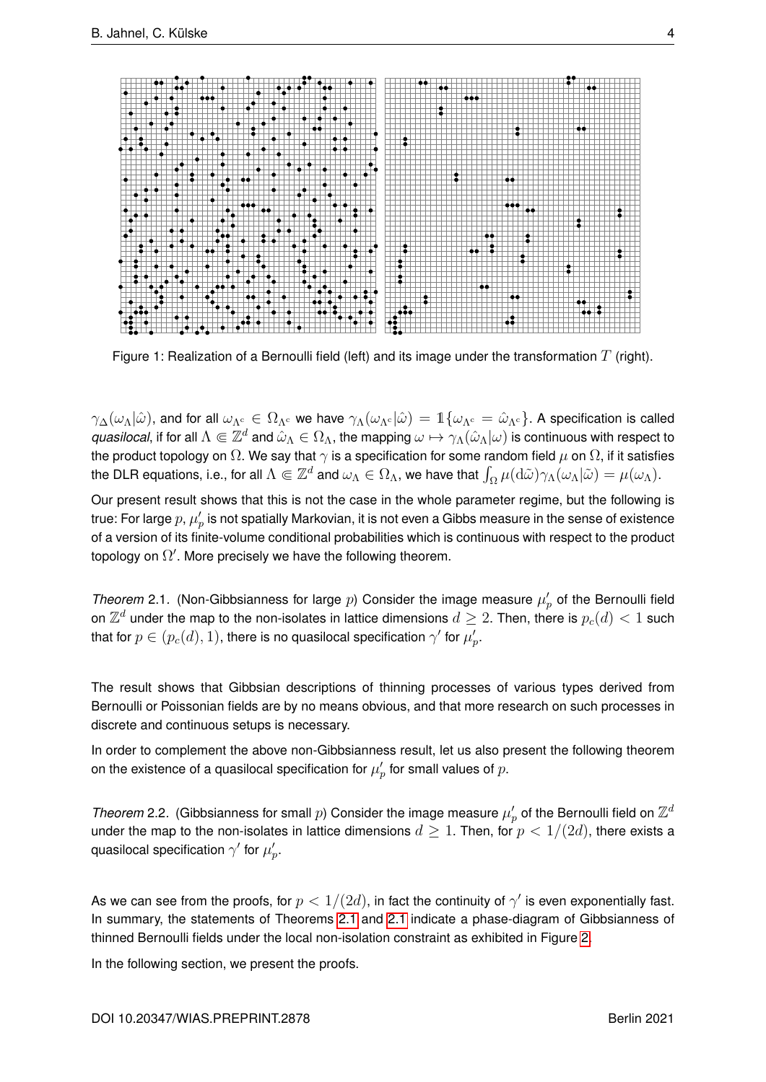<span id="page-5-2"></span>

Figure 1: Realization of a Bernoulli field (left) and its image under the transformation T (right).

 $\gamma_\Delta(\omega_\Lambda|\hat{\omega})$ , and for all  $\omega_{\Lambda^c} \in \Omega_{\Lambda^c}$  we have  $\gamma_\Lambda(\omega_{\Lambda^c}|\hat{\omega}) = \mathbb{1}\{\omega_{\Lambda^c} = \hat{\omega}_{\Lambda^c}\}\.$  A specification is called *quasilocal*, if for all  $\Lambda\Subset\Z^d$  and  $\hat\omega_\Lambda\in\Omega_\Lambda$ , the mapping  $\omega\mapsto\gamma_\Lambda(\hat\omega_\Lambda|\omega)$  is continuous with respect to the product topology on  $\Omega$ . We say that  $\gamma$  is a specification for some random field  $\mu$  on  $\Omega$ , if it satisfies the DLR equations, i.e., for all  $\Lambda\Subset\Z^d$  and  $\omega_\Lambda\in\Omega_\Lambda$ , we have that  $\int_\Omega\mu(\mathrm{d}\tilde\omega)\gamma_\Lambda(\omega_\Lambda|\tilde\omega)=\mu(\omega_\Lambda).$ 

Our present result shows that this is not the case in the whole parameter regime, but the following is true: For large  $p,\mu_p'$  is not spatially Markovian, it is not even a Gibbs measure in the sense of existence of a version of its finite-volume conditional probabilities which is continuous with respect to the product topology on  $\Omega'$ . More precisely we have the following theorem.

<span id="page-5-0"></span>*Theorem* 2.1. (Non-Gibbsianness for large  $p$ ) Consider the image measure  $\mu'_p$  of the Bernoulli field on  $\mathbb{Z}^d$  under the map to the non-isolates in lattice dimensions  $d\geq 2.$  Then, there is  $p_c(d) < 1$  such that for  $p\in(p_c(d),1)$ , there is no quasilocal specification  $\gamma'$  for  $\mu_p'.$ 

The result shows that Gibbsian descriptions of thinning processes of various types derived from Bernoulli or Poissonian fields are by no means obvious, and that more research on such processes in discrete and continuous setups is necessary.

In order to complement the above non-Gibbsianness result, let us also present the following theorem on the existence of a quasilocal specification for  $\mu'_p$  for small values of  $p.$ 

<span id="page-5-1"></span>*Theorem* 2.2. (Gibbsianness for small  $p$ ) Consider the image measure  $\mu'_p$  of the Bernoulli field on  $\mathbb{Z}^d$ under the map to the non-isolates in lattice dimensions  $d \geq 1$ . Then, for  $p < 1/(2d)$ , there exists a quasilocal specification  $\gamma'$  for  $\mu_p'.$ 

As we can see from the proofs, for  $p < 1/(2d)$ , in fact the continuity of  $\gamma'$  is even exponentially fast. In summary, the statements of Theorems [2.1](#page-5-0) and [2.1](#page-5-0) indicate a phase-diagram of Gibbsianness of thinned Bernoulli fields under the local non-isolation constraint as exhibited in Figure [2.](#page-6-0)

In the following section, we present the proofs.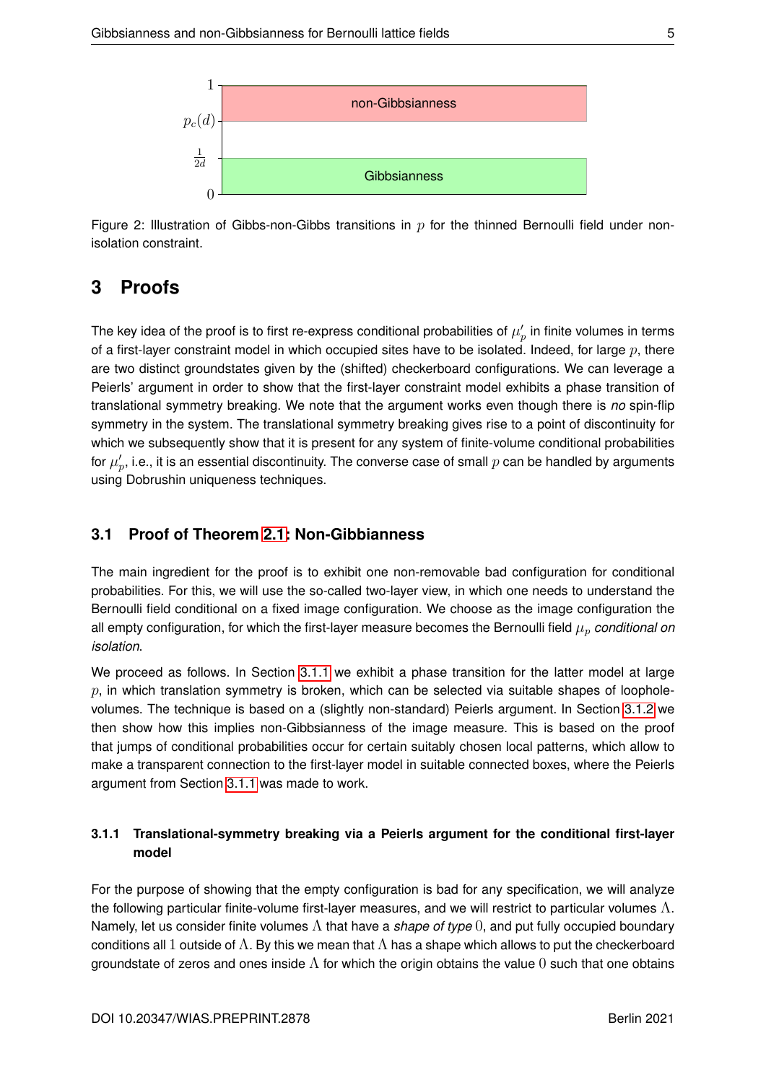<span id="page-6-0"></span>

Figure 2: Illustration of Gibbs-non-Gibbs transitions in  $p$  for the thinned Bernoulli field under nonisolation constraint.

## **3 Proofs**

The key idea of the proof is to first re-express conditional probabilities of  $\mu'_p$  in finite volumes in terms of a first-layer constraint model in which occupied sites have to be isolated. Indeed, for large  $p$ , there are two distinct groundstates given by the (shifted) checkerboard configurations. We can leverage a Peierls' argument in order to show that the first-layer constraint model exhibits a phase transition of translational symmetry breaking. We note that the argument works even though there is *no* spin-flip symmetry in the system. The translational symmetry breaking gives rise to a point of discontinuity for which we subsequently show that it is present for any system of finite-volume conditional probabilities for  $\mu_p'$ , i.e., it is an essential discontinuity. The converse case of small  $p$  can be handled by arguments using Dobrushin uniqueness techniques.

## **3.1 Proof of Theorem [2.1:](#page-5-0) Non-Gibbianness**

The main ingredient for the proof is to exhibit one non-removable bad configuration for conditional probabilities. For this, we will use the so-called two-layer view, in which one needs to understand the Bernoulli field conditional on a fixed image configuration. We choose as the image configuration the all empty configuration, for which the first-layer measure becomes the Bernoulli field  $\mu_p$  *conditional on isolation*.

We proceed as follows. In Section [3.1.1](#page-6-1) we exhibit a phase transition for the latter model at large  $p$ , in which translation symmetry is broken, which can be selected via suitable shapes of loopholevolumes. The technique is based on a (slightly non-standard) Peierls argument. In Section [3.1.2](#page-12-0) we then show how this implies non-Gibbsianness of the image measure. This is based on the proof that jumps of conditional probabilities occur for certain suitably chosen local patterns, which allow to make a transparent connection to the first-layer model in suitable connected boxes, where the Peierls argument from Section [3.1.1](#page-6-1) was made to work.

## <span id="page-6-1"></span>**3.1.1 Translational-symmetry breaking via a Peierls argument for the conditional first-layer model**

For the purpose of showing that the empty configuration is bad for any specification, we will analyze the following particular finite-volume first-layer measures, and we will restrict to particular volumes  $\Lambda$ . Namely, let us consider finite volumes Λ that have a *shape of type* 0, and put fully occupied boundary conditions all 1 outside of  $\Lambda$ . By this we mean that  $\Lambda$  has a shape which allows to put the checkerboard groundstate of zeros and ones inside  $\Lambda$  for which the origin obtains the value 0 such that one obtains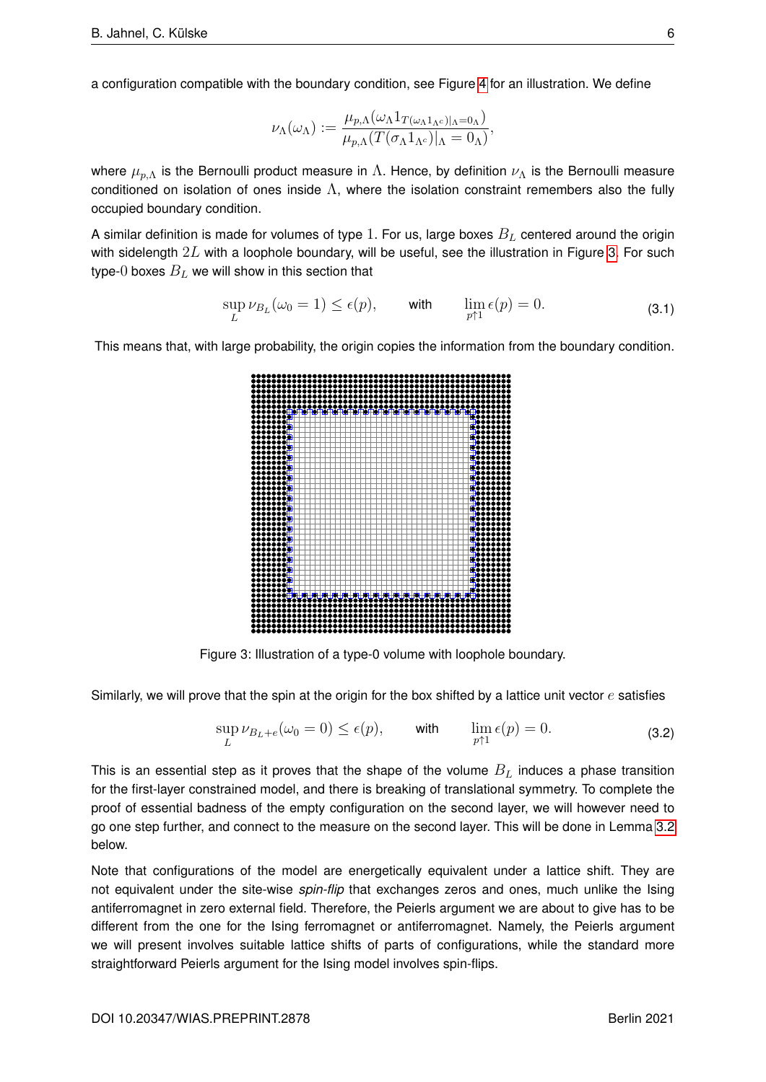a configuration compatible with the boundary condition, see Figure [4](#page-8-0) for an illustration. We define

$$
\nu_\Lambda(\omega_\Lambda) := \frac{\mu_{p,\Lambda}(\omega_\Lambda 1_{T(\omega_\Lambda 1_{\Lambda^c})|_{\Lambda}=0_{\Lambda})}}{\mu_{p,\Lambda}(T(\sigma_\Lambda 1_{\Lambda^c})|_{\Lambda}=0_{\Lambda})},
$$

where  $\mu_{p,\Lambda}$  is the Bernoulli product measure in  $\Lambda$ . Hence, by definition  $\nu_{\Lambda}$  is the Bernoulli measure conditioned on isolation of ones inside  $\Lambda$ , where the isolation constraint remembers also the fully occupied boundary condition.

A similar definition is made for volumes of type 1. For us, large boxes  $B_L$  centered around the origin with sidelength  $2L$  with a loophole boundary, will be useful, see the illustration in Figure [3.](#page-7-0) For such type-0 boxes  $B_L$  we will show in this section that

<span id="page-7-1"></span>
$$
\sup_{L} \nu_{B_{L}}(\omega_{0} = 1) \le \epsilon(p), \quad \text{with} \quad \lim_{p \uparrow 1} \epsilon(p) = 0. \tag{3.1}
$$

<span id="page-7-0"></span>This means that, with large probability, the origin copies the information from the boundary condition.



Figure 3: Illustration of a type-0 volume with loophole boundary.

Similarly, we will prove that the spin at the origin for the box shifted by a lattice unit vector  $e$  satisfies

<span id="page-7-2"></span>
$$
\sup_{L} \nu_{B_L + e}(\omega_0 = 0) \le \epsilon(p), \quad \text{with} \quad \lim_{p \uparrow 1} \epsilon(p) = 0. \tag{3.2}
$$

This is an essential step as it proves that the shape of the volume  $B_L$  induces a phase transition for the first-layer constrained model, and there is breaking of translational symmetry. To complete the proof of essential badness of the empty configuration on the second layer, we will however need to go one step further, and connect to the measure on the second layer. This will be done in Lemma [3.2](#page-14-0) below.

Note that configurations of the model are energetically equivalent under a lattice shift. They are not equivalent under the site-wise *spin-flip* that exchanges zeros and ones, much unlike the Ising antiferromagnet in zero external field. Therefore, the Peierls argument we are about to give has to be different from the one for the Ising ferromagnet or antiferromagnet. Namely, the Peierls argument we will present involves suitable lattice shifts of parts of configurations, while the standard more straightforward Peierls argument for the Ising model involves spin-flips.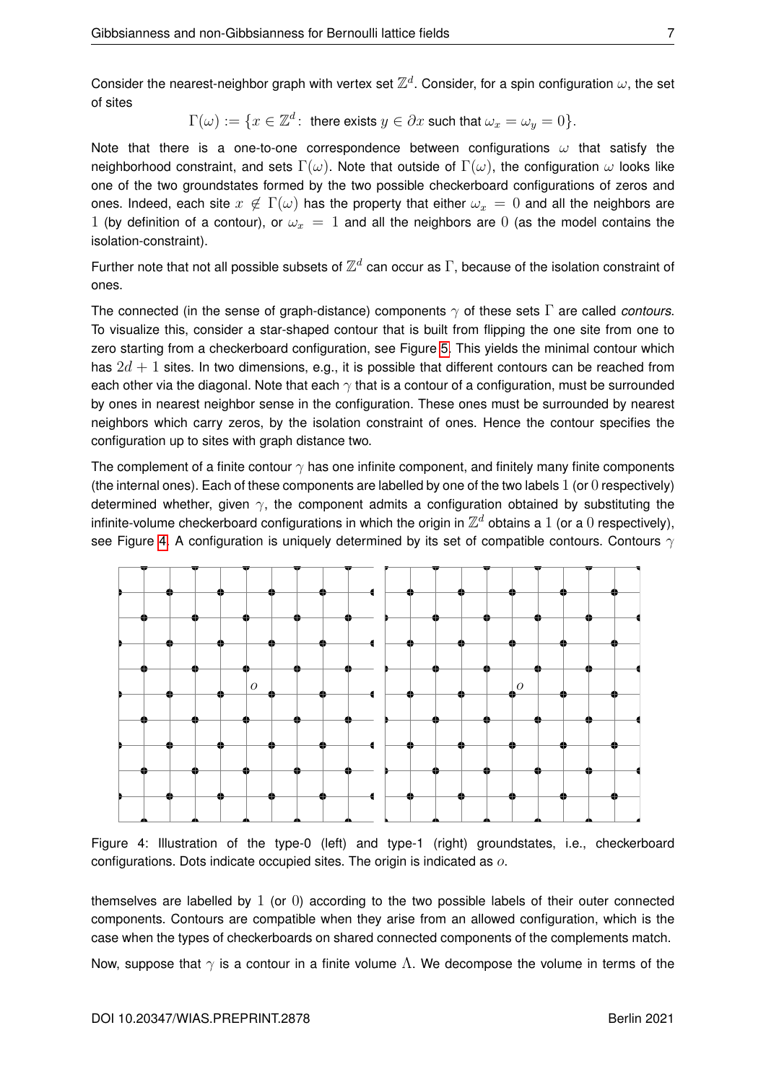Consider the nearest-neighbor graph with vertex set  $\mathbb{Z}^d$ . Consider, for a spin configuration  $\omega$ , the set of sites

$$
\Gamma(\omega):=\{x\in\mathbb{Z}^d\colon \text{ there exists }y\in\partial x\text{ such that }\omega_x=\omega_y=0\}.
$$

Note that there is a one-to-one correspondence between configurations  $\omega$  that satisfy the neighborhood constraint, and sets  $\Gamma(\omega)$ . Note that outside of  $\Gamma(\omega)$ , the configuration  $\omega$  looks like one of the two groundstates formed by the two possible checkerboard configurations of zeros and ones. Indeed, each site  $x \notin \Gamma(\omega)$  has the property that either  $\omega_x = 0$  and all the neighbors are 1 (by definition of a contour), or  $\omega_x = 1$  and all the neighbors are 0 (as the model contains the isolation-constraint).

Further note that not all possible subsets of  $\mathbb{Z}^d$  can occur as  $\Gamma$ , because of the isolation constraint of ones.

The connected (in the sense of graph-distance) components  $\gamma$  of these sets  $\Gamma$  are called *contours*. To visualize this, consider a star-shaped contour that is built from flipping the one site from one to zero starting from a checkerboard configuration, see Figure [5.](#page-9-0) This yields the minimal contour which has  $2d + 1$  sites. In two dimensions, e.g., it is possible that different contours can be reached from each other via the diagonal. Note that each  $\gamma$  that is a contour of a configuration, must be surrounded by ones in nearest neighbor sense in the configuration. These ones must be surrounded by nearest neighbors which carry zeros, by the isolation constraint of ones. Hence the contour specifies the configuration up to sites with graph distance two.

The complement of a finite contour  $\gamma$  has one infinite component, and finitely many finite components (the internal ones). Each of these components are labelled by one of the two labels  $1$  (or  $0$  respectively) determined whether, given  $\gamma$ , the component admits a configuration obtained by substituting the infinite-volume checkerboard configurations in which the origin in  $\mathbb{Z}^d$  obtains a  $1$  (or a  $0$  respectively), see Figure [4.](#page-8-0) A configuration is uniquely determined by its set of compatible contours. Contours  $\gamma$ 

<span id="page-8-0"></span>

Figure 4: Illustration of the type-0 (left) and type-1 (right) groundstates, i.e., checkerboard configurations. Dots indicate occupied sites. The origin is indicated as o.

themselves are labelled by 1 (or 0) according to the two possible labels of their outer connected components. Contours are compatible when they arise from an allowed configuration, which is the case when the types of checkerboards on shared connected components of the complements match.

Now, suppose that  $\gamma$  is a contour in a finite volume  $\Lambda$ . We decompose the volume in terms of the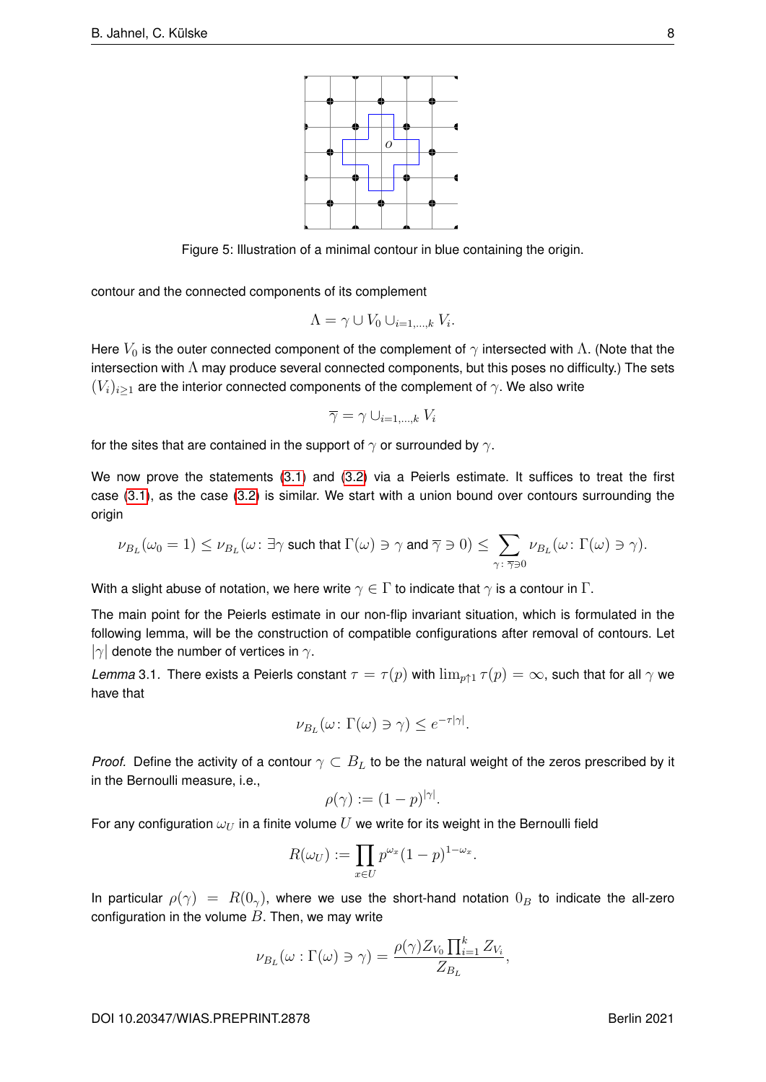

<span id="page-9-0"></span>Figure 5: Illustration of a minimal contour in blue containing the origin.

contour and the connected components of its complement

$$
\Lambda = \gamma \cup V_0 \cup_{i=1,\dots,k} V_i.
$$

Here  $V_0$  is the outer connected component of the complement of  $\gamma$  intersected with  $\Lambda$ . (Note that the intersection with  $\Lambda$  may produce several connected components, but this poses no difficulty.) The sets  $(V_i)_{i\geq 1}$  are the interior connected components of the complement of  $\gamma$ . We also write

$$
\overline{\gamma} = \gamma \cup_{i=1,\dots,k} V_i
$$

for the sites that are contained in the support of  $\gamma$  or surrounded by  $\gamma$ .

We now prove the statements [\(3.1\)](#page-7-1) and [\(3.2\)](#page-7-2) via a Peierls estimate. It suffices to treat the first case [\(3.1\)](#page-7-1), as the case [\(3.2\)](#page-7-2) is similar. We start with a union bound over contours surrounding the origin

$$
\nu_{B_L}(\omega_0=1)\leq \nu_{B_L}(\omega\colon \exists \gamma \text{ such that } \Gamma(\omega)\ni \gamma \text{ and } \overline{\gamma}\ni 0)\leq \sum_{\gamma\colon \overline{\gamma}\ni 0}\nu_{B_L}(\omega\colon \Gamma(\omega)\ni \gamma).
$$

With a slight abuse of notation, we here write  $\gamma \in \Gamma$  to indicate that  $\gamma$  is a contour in  $\Gamma$ .

The main point for the Peierls estimate in our non-flip invariant situation, which is formulated in the following lemma, will be the construction of compatible configurations after removal of contours. Let  $|\gamma|$  denote the number of vertices in  $\gamma$ .

<span id="page-9-1"></span>*Lemma* 3.1. There exists a Peierls constant  $\tau = \tau(p)$  with  $\lim_{p \uparrow 1} \tau(p) = \infty$ , such that for all  $\gamma$  we have that

$$
\nu_{B_L}(\omega: \Gamma(\omega) \ni \gamma) \leq e^{-\tau |\gamma|}.
$$

*Proof.* Define the activity of a contour  $\gamma \subset B_L$  to be the natural weight of the zeros prescribed by it in the Bernoulli measure, i.e.,

$$
\rho(\gamma) := (1 - p)^{|\gamma|}.
$$

For any configuration  $\omega_U$  in a finite volume U we write for its weight in the Bernoulli field

$$
R(\omega_U) := \prod_{x \in U} p^{\omega_x} (1 - p)^{1 - \omega_x}.
$$

In particular  $\rho(\gamma) = R(0_\gamma)$ , where we use the short-hand notation  $0_B$  to indicate the all-zero configuration in the volume  $B$ . Then, we may write

$$
\nu_{B_L}(\omega : \Gamma(\omega) \ni \gamma) = \frac{\rho(\gamma) Z_{V_0} \prod_{i=1}^k Z_{V_i}}{Z_{B_L}},
$$

DOI 10.20347/WIAS.PREPRINT.2878 Berlin 2021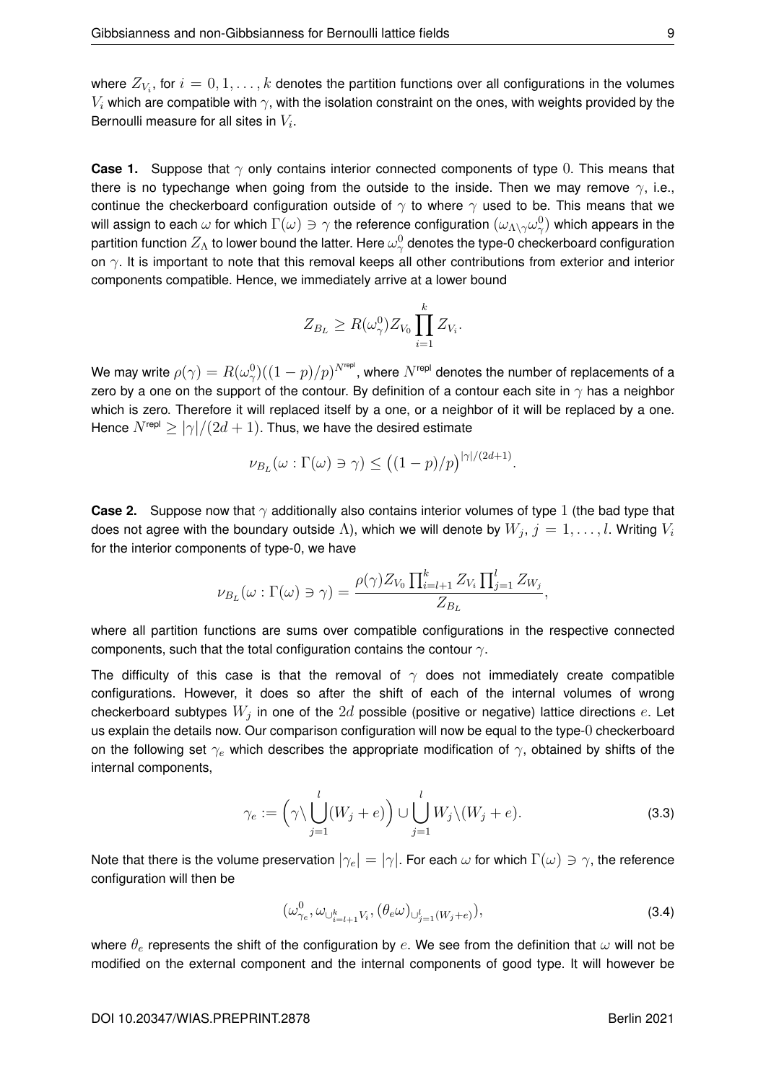where  $Z_{V_i}$ , for  $i=0,1,\ldots,k$  denotes the partition functions over all configurations in the volumes  $V_i$  which are compatible with  $\gamma$ , with the isolation constraint on the ones, with weights provided by the Bernoulli measure for all sites in  $V_i$ .

**Case 1.** Suppose that  $\gamma$  only contains interior connected components of type 0. This means that there is no typechange when going from the outside to the inside. Then we may remove  $\gamma$ , i.e., continue the checkerboard configuration outside of  $\gamma$  to where  $\gamma$  used to be. This means that we will assign to each  $\omega$  for which  $\Gamma(\omega)\ni\gamma$  the reference configuration  $(\omega_{\Lambda\setminus\gamma}\omega_\gamma^0)$  which appears in the partition function  $Z_\Lambda$  to lower bound the latter. Here  $\omega_\gamma^0$  denotes the type-0 checkerboard configuration on  $\gamma$ . It is important to note that this removal keeps all other contributions from exterior and interior components compatible. Hence, we immediately arrive at a lower bound

$$
Z_{B_L} \ge R(\omega_\gamma^0) Z_{V_0} \prod_{i=1}^k Z_{V_i}.
$$

We may write  $\rho(\gamma)=R(\omega_\gamma^0)((1-p)/p)^{N^{\mathsf{repl}}}$ , where  $N^{\mathsf{repl}}$  denotes the number of replacements of a zero by a one on the support of the contour. By definition of a contour each site in  $\gamma$  has a neighbor which is zero. Therefore it will replaced itself by a one, or a neighbor of it will be replaced by a one. Hence  $N^{\text{rep}} > |\gamma|/(2d+1)$ . Thus, we have the desired estimate

$$
\nu_{B_L}(\omega : \Gamma(\omega) \ni \gamma) \le ((1 - p)/p)^{|\gamma|/(2d+1)}.
$$

**Case 2.** Suppose now that  $\gamma$  additionally also contains interior volumes of type 1 (the bad type that does not agree with the boundary outside  $\Lambda$ ), which we will denote by  $W_j, \, j=1,\ldots,l.$  Writing  $V_i$ for the interior components of type-0, we have

$$
\nu_{B_L}(\omega : \Gamma(\omega) \ni \gamma) = \frac{\rho(\gamma) Z_{V_0} \prod_{i=l+1}^k Z_{V_i} \prod_{j=1}^l Z_{W_j}}{Z_{B_L}},
$$

where all partition functions are sums over compatible configurations in the respective connected components, such that the total configuration contains the contour  $\gamma$ .

The difficulty of this case is that the removal of  $\gamma$  does not immediately create compatible configurations. However, it does so after the shift of each of the internal volumes of wrong checkerboard subtypes  $W_j$  in one of the  $2d$  possible (positive or negative) lattice directions  $e$ . Let us explain the details now. Our comparison configuration will now be equal to the type-0 checkerboard on the following set  $\gamma_e$  which describes the appropriate modification of  $\gamma$ , obtained by shifts of the internal components,

<span id="page-10-0"></span>
$$
\gamma_e := \left(\gamma \setminus \bigcup_{j=1}^l (W_j + e)\right) \cup \bigcup_{j=1}^l W_j \setminus (W_j + e). \tag{3.3}
$$

Note that there is the volume preservation  $|\gamma_e|=|\gamma|$ . For each  $\omega$  for which  $\Gamma(\omega)\ni\gamma$ , the reference configuration will then be

<span id="page-10-1"></span>
$$
(\omega^0_{\gamma_e}, \omega_{\cup^k_{i=l+1}V_i}, (\theta_e \omega)_{\cup^l_{j=1}(W_j+e)}), \tag{3.4}
$$

where  $\theta_e$  represents the shift of the configuration by e. We see from the definition that  $\omega$  will not be modified on the external component and the internal components of good type. It will however be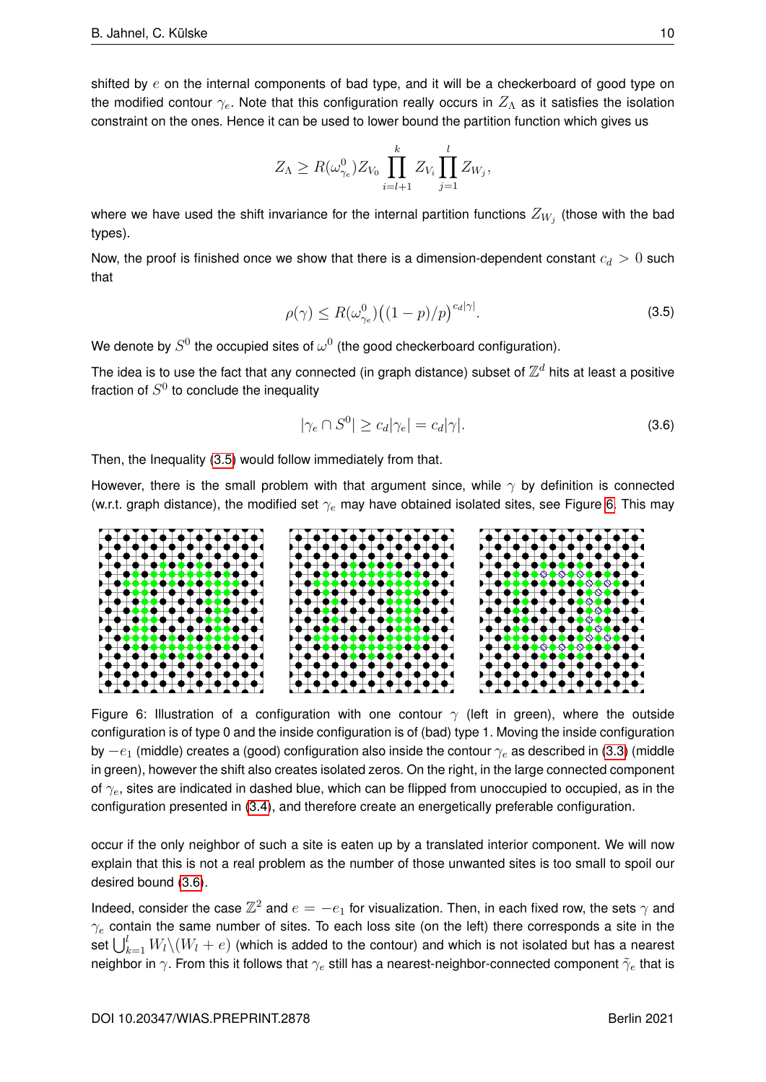shifted by  $e$  on the internal components of bad type, and it will be a checkerboard of good type on the modified contour  $\gamma_e$ . Note that this configuration really occurs in  $Z_\Lambda$  as it satisfies the isolation constraint on the ones. Hence it can be used to lower bound the partition function which gives us

$$
Z_{\Lambda} \geq R(\omega_{\gamma_e}^0) Z_{V_0} \prod_{i=l+1}^k Z_{V_i} \prod_{j=1}^l Z_{W_j},
$$

where we have used the shift invariance for the internal partition functions  $Z_{W_j}$  (those with the bad types).

<span id="page-11-0"></span>Now, the proof is finished once we show that there is a dimension-dependent constant  $c_d > 0$  such that

$$
\rho(\gamma) \le R(\omega_{\gamma_e}^0) \big( (1-p)/p \big)^{c_d |\gamma|}.
$$
\n(3.5)

We denote by  $S^0$  the occupied sites of  $\omega^0$  (the good checkerboard configuration).

The idea is to use the fact that any connected (in graph distance) subset of  $\mathbb{Z}^d$  hits at least a positive fraction of  $S^0$  to conclude the inequality

<span id="page-11-2"></span>
$$
|\gamma_e \cap S^0| \ge c_d |\gamma_e| = c_d |\gamma|.
$$
\n(3.6)

Then, the Inequality [\(3.5\)](#page-11-0) would follow immediately from that.

However, there is the small problem with that argument since, while  $\gamma$  by definition is connected (w.r.t. graph distance), the modified set  $\gamma_e$  may have obtained isolated sites, see Figure [6.](#page-11-1) This may

<span id="page-11-1"></span>

Figure 6: Illustration of a configuration with one contour  $\gamma$  (left in green), where the outside configuration is of type 0 and the inside configuration is of (bad) type 1. Moving the inside configuration by  $-e_1$  (middle) creates a (good) configuration also inside the contour  $\gamma_e$  as described in [\(3.3\)](#page-10-0) (middle in green), however the shift also creates isolated zeros. On the right, in the large connected component of  $\gamma_e$ , sites are indicated in dashed blue, which can be flipped from unoccupied to occupied, as in the configuration presented in [\(3.4\)](#page-10-1), and therefore create an energetically preferable configuration.

occur if the only neighbor of such a site is eaten up by a translated interior component. We will now explain that this is not a real problem as the number of those unwanted sites is too small to spoil our desired bound [\(3.6\)](#page-11-2).

Indeed, consider the case  $\mathbb{Z}^2$  and  $e=-e_1$  for visualization. Then, in each fixed row, the sets  $\gamma$  and  $\gamma_e$  contain the same number of sites. To each loss site (on the left) there corresponds a site in the set  $\bigcup_{k=1}^l W_l \backslash (W_l + e)$  (which is added to the contour) and which is not isolated but has a nearest neighbor in  $\gamma$ . From this it follows that  $\gamma_e$  still has a nearest-neighbor-connected component  $\tilde{\gamma}_e$  that is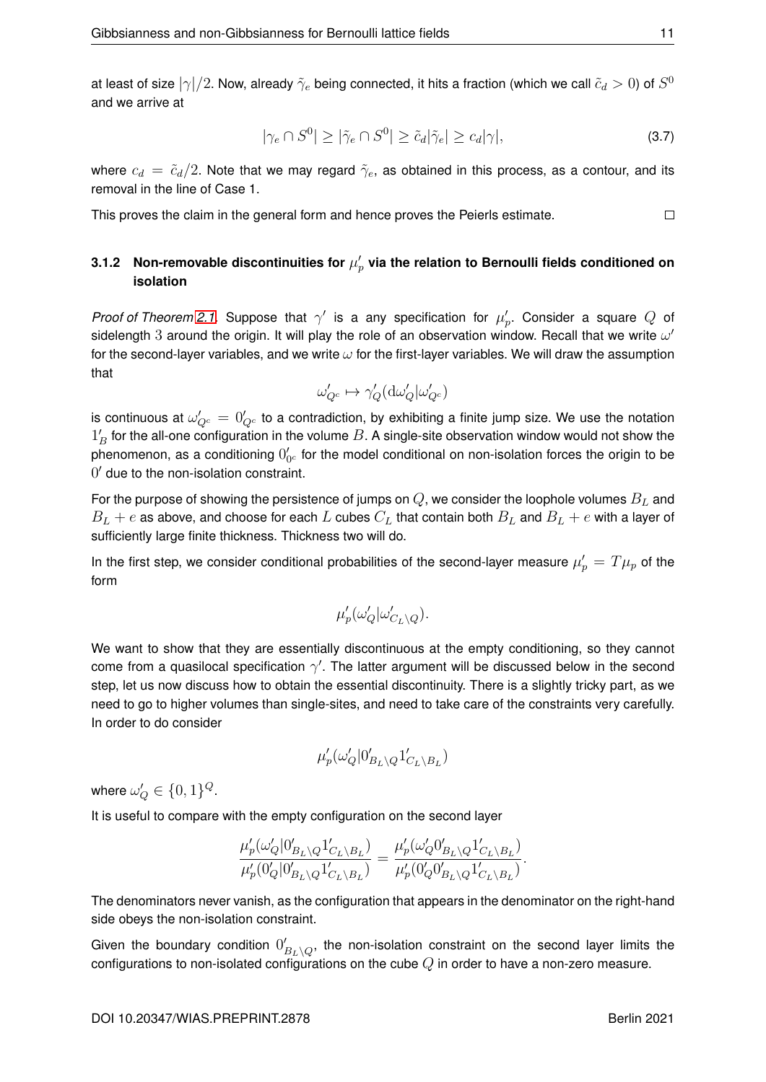at least of size  $|\gamma|/2$ . Now, already  $\tilde\gamma_e$  being connected, it hits a fraction (which we call  $\tilde c_d>0$ ) of  $S^0$ and we arrive at

$$
|\gamma_e \cap S^0| \ge |\tilde{\gamma}_e \cap S^0| \ge \tilde{c}_d |\tilde{\gamma}_e| \ge c_d |\gamma|,\tag{3.7}
$$

where  $c_d = \tilde{c}_d/2$ . Note that we may regard  $\tilde{\gamma}_e$ , as obtained in this process, as a contour, and its removal in the line of Case 1.

This proves the claim in the general form and hence proves the Peierls estimate.

## <span id="page-12-0"></span>3.1.2 Non-removable discontinuities for  $\mu_p'$  via the relation to Bernoulli fields conditioned on **isolation**

*Proof of Theorem [2.1.](#page-5-0)* Suppose that  $\gamma'$  is a any specification for  $\mu'_p$ . Consider a square  $Q$  of sidelength 3 around the origin. It will play the role of an observation window. Recall that we write  $\omega'$ for the second-layer variables, and we write  $\omega$  for the first-layer variables. We will draw the assumption that

$$
\omega'_{Q^c} \mapsto \gamma_Q'(\mathrm{d}\omega'_Q|\omega'_{Q^c})
$$

is continuous at  $\omega'_{Q^c}=0'_{Q^c}$  to a contradiction, by exhibiting a finite jump size. We use the notation  $1_B^{\prime}$  for the all-one configuration in the volume  $B.$  A single-site observation window would not show the phenomenon, as a conditioning  $0'_{0^c}$  for the model conditional on non-isolation forces the origin to be  $0'$  due to the non-isolation constraint.

For the purpose of showing the persistence of jumps on  $Q$ , we consider the loophole volumes  $B_L$  and  $B_L + e$  as above, and choose for each  $L$  cubes  $C_L$  that contain both  $B_L$  and  $B_L + e$  with a layer of sufficiently large finite thickness. Thickness two will do.

In the first step, we consider conditional probabilities of the second-layer measure  $\mu'_p = T \mu_p$  of the form

$$
\mu'_p(\omega'_Q|\omega'_{C_L\setminus Q}).
$$

We want to show that they are essentially discontinuous at the empty conditioning, so they cannot come from a quasilocal specification  $\gamma'$ . The latter argument will be discussed below in the second step, let us now discuss how to obtain the essential discontinuity. There is a slightly tricky part, as we need to go to higher volumes than single-sites, and need to take care of the constraints very carefully. In order to do consider

$$
\mu'_p(\omega'_Q|0'_{B_L\backslash Q}1'_{C_L\backslash B_L})
$$

where  $\omega'_{Q} \in \{0,1\}^{Q}$ .

It is useful to compare with the empty configuration on the second layer

$$
\frac{\mu_p'(\omega_Q'|0'_{B_L\backslash Q}1'_{C_L\backslash B_L})}{\mu_p'(0'_Q|0'_{B_L\backslash Q}1'_{C_L\backslash B_L})} = \frac{\mu_p'(\omega_Q'0'_{B_L\backslash Q}1'_{C_L\backslash B_L})}{\mu_p'(0'_Q0'_{B_L\backslash Q}1'_{C_L\backslash B_L})}.
$$

The denominators never vanish, as the configuration that appears in the denominator on the right-hand side obeys the non-isolation constraint.

Given the boundary condition  $0'_{B_L\setminus Q}$ , the non-isolation constraint on the second layer limits the configurations to non-isolated configurations on the cube  $Q$  in order to have a non-zero measure.

 $\Box$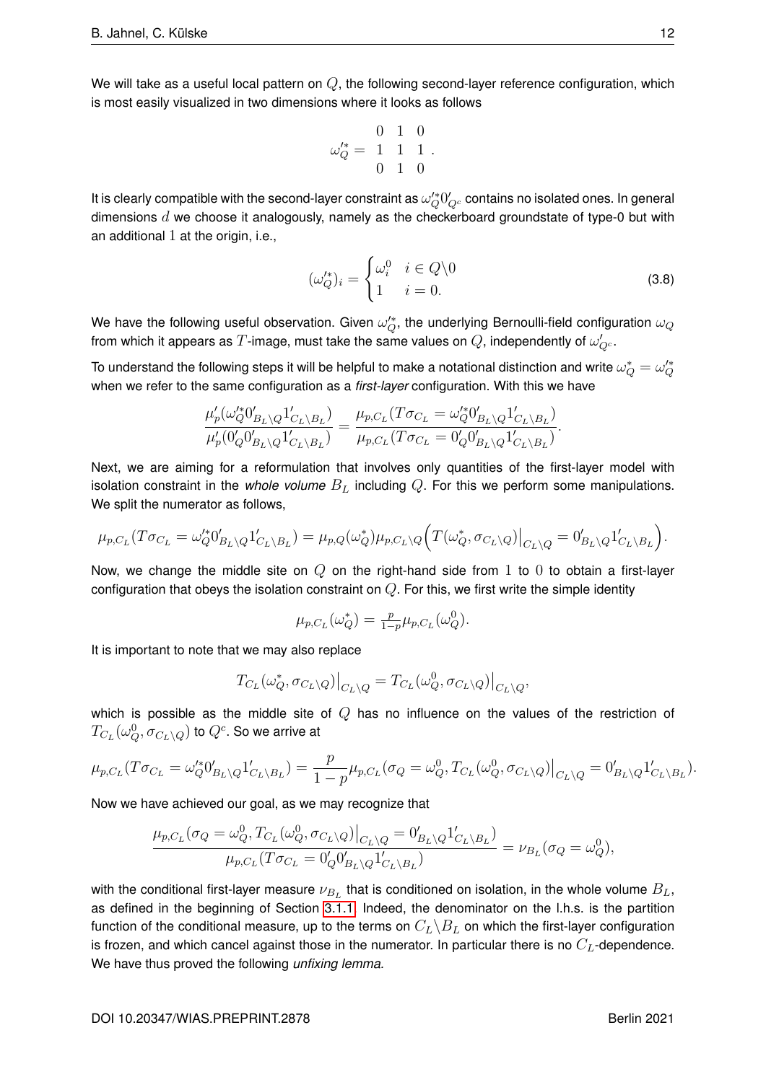We will take as a useful local pattern on  $Q$ , the following second-layer reference configuration, which is most easily visualized in two dimensions where it looks as follows

$$
\omega_Q^{\prime *} = \begin{array}{ccc} 0 & 1 & 0 \\ 1 & 1 & 1 \\ 0 & 1 & 0 \end{array}.
$$

It is clearly compatible with the second-layer constraint as  $\omega_Q'^*0_Q'_{Q^c}$  contains no isolated ones. In general dimensions  $d$  we choose it analogously, namely as the checkerboard groundstate of type-0 but with an additional  $1$  at the origin, i.e.,

<span id="page-13-0"></span>
$$
(\omega_Q^{\prime*})_i = \begin{cases} \omega_i^0 & i \in Q \backslash 0 \\ 1 & i = 0. \end{cases} \tag{3.8}
$$

We have the following useful observation. Given  $\omega_Q'^*$ , the underlying Bernoulli-field configuration  $\omega_Q$ from which it appears as  $T$ -image, must take the same values on  $Q$ , independently of  $\omega'_{Q^c}.$ 

To understand the following steps it will be helpful to make a notational distinction and write  $\omega_Q^*=\omega_Q'^*$ when we refer to the same configuration as a *first-layer* configuration. With this we have

$$
\frac{\mu'_p(\omega'^*_{Q}0'_{B_L\backslash Q}1'_{C_L\backslash B_L})}{\mu'_p(0'_{Q}0'_{B_L\backslash Q}1'_{C_L\backslash B_L})} = \frac{\mu_{p,C_L}(T\sigma_{C_L} = \omega'^*_{Q}0'_{B_L\backslash Q}1'_{C_L\backslash B_L})}{\mu_{p,C_L}(T\sigma_{C_L} = 0'_{Q}0'_{B_L\backslash Q}1'_{C_L\backslash B_L})}.
$$

Next, we are aiming for a reformulation that involves only quantities of the first-layer model with isolation constraint in the *whole volume*  $B_L$  including  $Q$ . For this we perform some manipulations. We split the numerator as follows,

$$
\mu_{p,C_L}(T\sigma_{C_L}=\omega_{Q}^{\prime*}0'_{B_L\setminus Q}1'_{C_L\setminus B_L})=\mu_{p,Q}(\omega_{Q}^*)\mu_{p,C_L\setminus Q}\Big(T(\omega_{Q}^*,\sigma_{C_L\setminus Q})\big|_{C_L\setminus Q}=0'_{B_L\setminus Q}1'_{C_L\setminus B_L}\Big).
$$

Now, we change the middle site on  $Q$  on the right-hand side from 1 to 0 to obtain a first-layer configuration that obeys the isolation constraint on  $Q$ . For this, we first write the simple identity

$$
\mu_{p,C_L}(\omega_Q^*) = \frac{p}{1-p} \mu_{p,C_L}(\omega_Q^0).
$$

It is important to note that we may also replace

$$
T_{C_L}(\omega_Q^*, \sigma_{C_L \setminus Q})\big|_{C_L \setminus Q} = T_{C_L}(\omega_Q^0, \sigma_{C_L \setminus Q})\big|_{C_L \setminus Q},
$$

which is possible as the middle site of  $Q$  has no influence on the values of the restriction of  $T_{C_L}(\omega_Q^0,\sigma_{C_L\setminus Q})$  to  $Q^c.$  So we arrive at

$$
\mu_{p,C_L}(T\sigma_{C_L}=\omega_0'^*0'_{B_L\setminus Q}1'_{C_L\setminus B_L})=\frac{p}{1-p}\mu_{p,C_L}(\sigma_Q=\omega_Q^0,T_{C_L}(\omega_Q^0,\sigma_{C_L\setminus Q})\big|_{C_L\setminus Q}=0'_{B_L\setminus Q}1'_{C_L\setminus B_L}).
$$

Now we have achieved our goal, as we may recognize that

$$
\frac{\mu_{p,C_L}(\sigma_Q = \omega_Q^0, T_{C_L}(\omega_Q^0, \sigma_{C_L \setminus Q})\big|_{C_L \setminus Q} = 0'_{B_L \setminus Q} 1'_{C_L \setminus B_L})}{\mu_{p,C_L}(T\sigma_{C_L} = 0'_Q 0'_{B_L \setminus Q} 1'_{C_L \setminus B_L})} = \nu_{B_L}(\sigma_Q = \omega_Q^0),
$$

with the conditional first-layer measure  $\nu_{B_L}$  that is conditioned on isolation, in the whole volume  $B_L$ , as defined in the beginning of Section [3.1.1.](#page-6-1) Indeed, the denominator on the l.h.s. is the partition function of the conditional measure, up to the terms on  $C_L\backslash B_L$  on which the first-layer configuration is frozen, and which cancel against those in the numerator. In particular there is no  $C_L$ -dependence. We have thus proved the following *unfixing lemma.*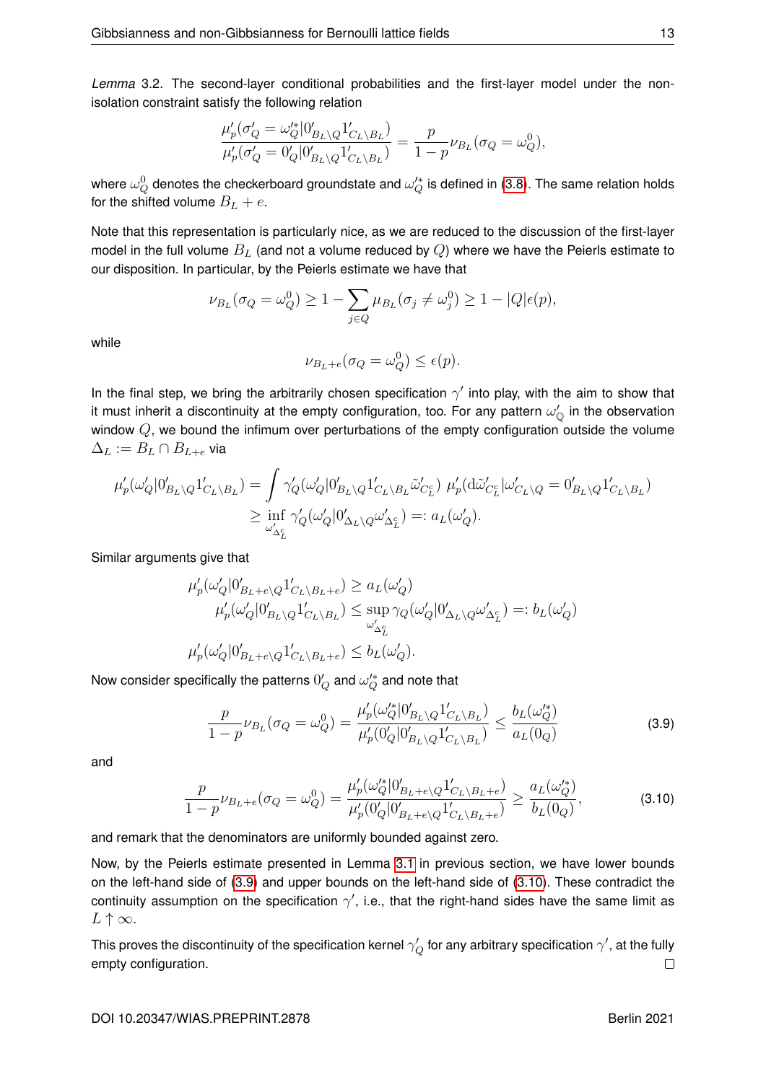<span id="page-14-0"></span>*Lemma* 3.2*.* The second-layer conditional probabilities and the first-layer model under the nonisolation constraint satisfy the following relation

$$
\frac{\mu_p'(\sigma_Q'=\omega_Q'^*|0'_{B_L\backslash Q}1'_{C_L\backslash B_L})}{\mu_p'(\sigma_Q'=0'_Q|0'_{B_L\backslash Q}1'_{C_L\backslash B_L})}=\frac{p}{1-p}\nu_{B_L}(\sigma_Q=\omega_Q^0),
$$

where  $\omega_Q^0$  denotes the checkerboard groundstate and  $\omega_Q'^*$  is defined in [\(3.8\)](#page-13-0). The same relation holds for the shifted volume  $B_L + e$ .

Note that this representation is particularly nice, as we are reduced to the discussion of the first-layer model in the full volume  $B_L$  (and not a volume reduced by  $Q$ ) where we have the Peierls estimate to our disposition. In particular, by the Peierls estimate we have that

$$
\nu_{B_L}(\sigma_Q = \omega_Q^0) \ge 1 - \sum_{j \in Q} \mu_{B_L}(\sigma_j \neq \omega_j^0) \ge 1 - |Q|\epsilon(p),
$$

while

$$
\nu_{B_L+e}(\sigma_Q = \omega_Q^0) \le \epsilon(p).
$$

In the final step, we bring the arbitrarily chosen specification  $\gamma'$  into play, with the aim to show that it must inherit a discontinuity at the empty configuration, too. For any pattern  $\omega_\mathbb{O}'$  in the observation window  $Q$ , we bound the infimum over perturbations of the empty configuration outside the volume  $\Delta_L := B_L \cap B_{L+e}$  via

$$
\mu'_p(\omega'_Q|0'_{B_L\setminus Q}1'_{C_L\setminus B_L}) = \int \gamma'_Q(\omega'_Q|0'_{B_L\setminus Q}1'_{C_L\setminus B_L}\tilde{\omega}'_{C_L^c}) \ \mu'_p(\mathrm{d}\tilde{\omega}'_{C_L^c}|\omega'_{C_L\setminus Q} = 0'_{B_L\setminus Q}1'_{C_L\setminus B_L})
$$
  

$$
\geq \inf_{\omega'_{\Delta_L^c}} \gamma'_Q(\omega'_Q|0'_{\Delta_L\setminus Q}\omega'_{\Delta_L^c}) =: a_L(\omega'_Q).
$$

Similar arguments give that

$$
\begin{split} \mu_p'(\omega'_Q|0'_{B_L+e\backslash Q}1'_{C_L\backslash B_L+e}) &\ge a_L(\omega'_Q) \\ \mu_p'(\omega'_Q|0'_{B_L\backslash Q}1'_{C_L\backslash B_L}) &\le \sup_{\omega'_{\Delta_L^c}}\gamma_Q(\omega'_Q|0'_{\Delta_L\backslash Q}\omega'_{\Delta_L^c}) =: b_L(\omega'_Q) \\ \mu_p'(\omega'_Q|0'_{B_L+e\backslash Q}1'_{C_L\backslash B_L+e}) &\le b_L(\omega'_Q). \end{split}
$$

Now consider specifically the patterns  $0_Q'$  and  $\omega_Q'^*$  and note that

<span id="page-14-1"></span>
$$
\frac{p}{1-p}\nu_{B_L}(\sigma_Q = \omega_Q^0) = \frac{\mu_p'(\omega_Q'^*|0'_{B_L \setminus Q} 1'_{C_L \setminus B_L})}{\mu_p'(0'_Q|0'_{B_L \setminus Q} 1'_{C_L \setminus B_L})} \le \frac{b_L(\omega_Q'^*)}{a_L(0_Q)}\tag{3.9}
$$

<span id="page-14-2"></span>and

$$
\frac{p}{1-p}\nu_{B_L+e}(\sigma_Q = \omega_Q^0) = \frac{\mu_p'(\omega_Q'^*|0'_{B_L+e\backslash Q}1'_{C_L\backslash B_L+e})}{\mu_p'(0'_Q|0'_{B_L+e\backslash Q}1'_{C_L\backslash B_L+e})} \ge \frac{a_L(\omega_Q'^*)}{b_L(0_Q)},
$$
\n(3.10)

and remark that the denominators are uniformly bounded against zero.

Now, by the Peierls estimate presented in Lemma [3.1](#page-9-1) in previous section, we have lower bounds on the left-hand side of [\(3.9\)](#page-14-1) and upper bounds on the left-hand side of [\(3.10\)](#page-14-2). These contradict the continuity assumption on the specification  $\gamma'$ , i.e., that the right-hand sides have the same limit as  $L \uparrow \infty$ .

This proves the discontinuity of the specification kernel  $\gamma_Q'$  for any arbitrary specification  $\gamma'$ , at the fully empty configuration.  $\Box$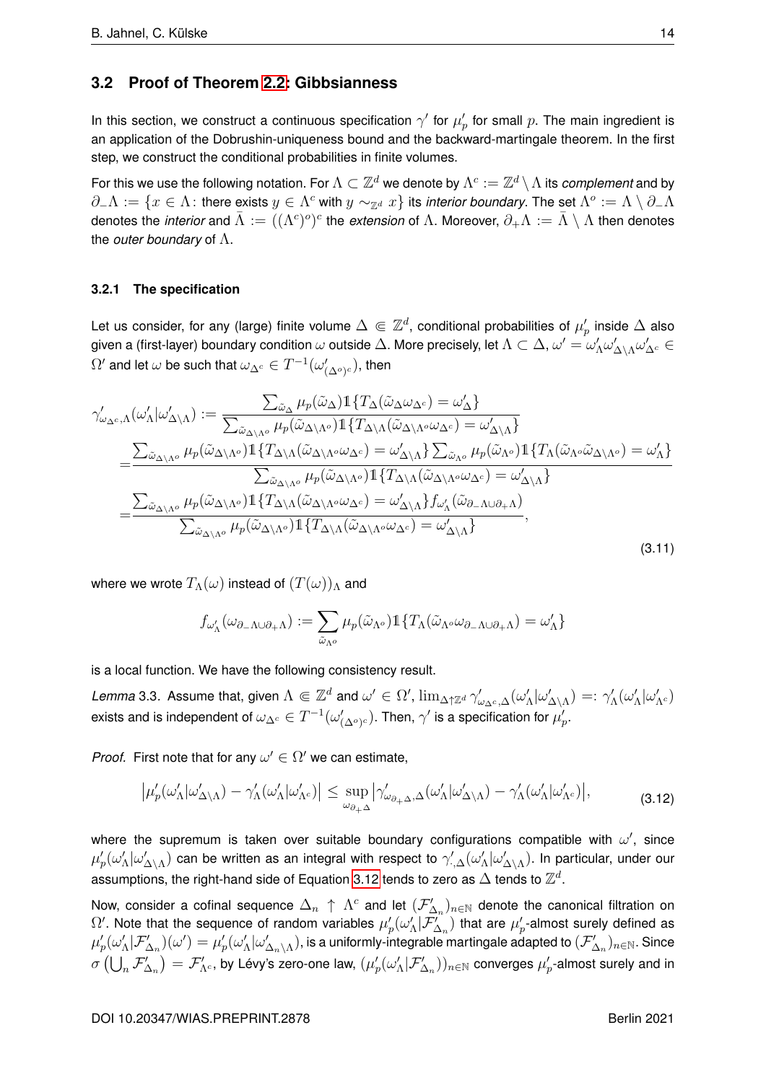### **3.2 Proof of Theorem [2.2:](#page-5-1) Gibbsianness**

In this section, we construct a continuous specification  $\gamma'$  for  $\mu'_p$  for small  $p$ . The main ingredient is an application of the Dobrushin-uniqueness bound and the backward-martingale theorem. In the first step, we construct the conditional probabilities in finite volumes.

For this we use the following notation. For  $\Lambda\subset\Z^d$  we denote by  $\Lambda^c:=\Z^d\setminus\Lambda$  its *complement* and by  $\partial_-\Lambda:=\{x\in\Lambda\colon$  there exists  $y\in\Lambda^c$  with  $y\sim_{\Z^d}x\}$  its *interior boundary*. The set  $\Lambda^o:=\Lambda\setminus\partial_-\Lambda$ denotes the *interior* and  $\bar\Lambda:=((\Lambda^c)^o)^c$  the *extension* of  $\Lambda$ . Moreover,  $\partial_+\Lambda:=\bar\Lambda\setminus\Lambda$  then denotes the *outer boundary* of Λ.

### **3.2.1 The specification**

Let us consider, for any (large) finite volume  $\Delta\Subset\Z^d$ , conditional probabilities of  $\mu'_p$  inside  $\Delta$  also given a (first-layer) boundary condition  $\omega$  outside  $\Delta$ . More precisely, let  $\Lambda\subset\Delta,$   $\omega'=\omega'_\Lambda\omega'_{\Delta\setminus\Lambda}\omega'_{\Delta^c}\in$  $\Omega'$  and let  $\omega$  be such that  $\omega_{\Delta^c}\in T^{-1}(\omega'_{(\Delta^o)^c})$ , then

<span id="page-15-2"></span>
$$
\gamma'_{\omega_{\Delta^c,\Lambda}}(\omega'_{\Lambda}|\omega'_{\Delta\setminus\Lambda}) := \frac{\sum_{\tilde{\omega}_{\Delta}}\mu_p(\tilde{\omega}_{\Delta})\mathbb{1}\{T_{\Delta}(\tilde{\omega}_{\Delta}\omega_{\Delta^c}) = \omega'_{\Delta}\}}{\sum_{\tilde{\omega}_{\Delta\setminus\Lambda^o}}\mu_p(\tilde{\omega}_{\Delta\setminus\Lambda^o})\mathbb{1}\{T_{\Delta\setminus\Lambda}(\tilde{\omega}_{\Delta\setminus\Lambda^o}\omega_{\Delta^c}) = \omega'_{\Delta\setminus\Lambda}\}}\n= \frac{\sum_{\tilde{\omega}_{\Delta\setminus\Lambda^o}}\mu_p(\tilde{\omega}_{\Delta\setminus\Lambda^o})\mathbb{1}\{T_{\Delta\setminus\Lambda}(\tilde{\omega}_{\Delta\setminus\Lambda^o}\omega_{\Delta^c}) = \omega'_{\Delta\setminus\Lambda}\}}{\sum_{\tilde{\omega}_{\Delta\setminus\Lambda^o}}\mu_p(\tilde{\omega}_{\Delta\setminus\Lambda^o})\mathbb{1}\{T_{\Delta\setminus\Lambda}(\tilde{\omega}_{\Delta\setminus\Lambda^o}\omega_{\Delta^c}) = \omega'_{\Delta\setminus\Lambda}\}}\n= \frac{\sum_{\tilde{\omega}_{\Delta\setminus\Lambda^o}}\mu_p(\tilde{\omega}_{\Delta\setminus\Lambda^o})\mathbb{1}\{T_{\Delta\setminus\Lambda}(\tilde{\omega}_{\Delta\setminus\Lambda^o}\omega_{\Delta^c}) = \omega'_{\Delta\setminus\Lambda}\}}{\sum_{\tilde{\omega}_{\Delta\setminus\Lambda^o}}\mu_p(\tilde{\omega}_{\Delta\setminus\Lambda^o})\mathbb{1}\{T_{\Delta\setminus\Lambda}(\tilde{\omega}_{\Delta\setminus\Lambda^o}\omega_{\Delta^c}) = \omega'_{\Delta\setminus\Lambda}\}\int_{\omega'_\Lambda}(\tilde{\omega}_{\partial-\Lambda\cup\partial+\Lambda})}\n= \frac{\sum_{\tilde{\omega}_{\Delta\setminus\Lambda^o}}\mu_p(\tilde{\omega}_{\Delta\setminus\Lambda^o})\mathbb{1}\{T_{\Delta\setminus\Lambda}(\tilde{\omega}_{\Delta\setminus\Lambda^o}\omega_{\Delta^c}) = \omega'_{\Delta\setminus\Lambda}\}}{\sum_{\tilde{\omega}_{\Delta\setminus\Lambda^o}}\mu_p(\tilde{\omega}_{\Delta\setminus\Lambda^o})\mathbb{1}\{T_{\Delta\setminus\Lambda}(\tilde{\omega}_{\Delta\setminus\Lambda^o}\
$$

where we wrote  $T_{\Lambda}(\omega)$  instead of  $(T(\omega))_{\Lambda}$  and

<span id="page-15-0"></span>
$$
f_{\omega'_{\Lambda}}(\omega_{\partial_{-\Lambda}\cup\partial_{+\Lambda}}):=\sum_{\tilde{\omega}_{\Lambda^o}}\mu_p(\tilde{\omega}_{\Lambda^o})1\!\!1\{T_{\Lambda}(\tilde{\omega}_{\Lambda^o}\omega_{\partial_{-\Lambda}\cup\partial_{+\Lambda}})=\omega'_{\Lambda}\}
$$

is a local function. We have the following consistency result.

<span id="page-15-1"></span>*Lemma* 3.3. Assume that, given  $\Lambda\Subset\mathbb{Z}^d$  and  $\omega'\in\Omega'$ ,  $\lim_{\Delta\uparrow\mathbb{Z}^d}\gamma'_{\omega_{\Delta^c},\Delta}(\omega'_\Lambda|\omega'_{\Delta\setminus\Lambda})=:\gamma'_\Lambda(\omega'_\Lambda|\omega'_{\Lambda^c})$ exists and is independent of  $\omega_{\Delta^c}\in T^{-1}(\omega'_{(\Delta^o)^c}).$  Then,  $\gamma'$  is a specification for  $\mu_p'.$ 

*Proof.* First note that for any  $\omega' \in \Omega'$  we can estimate,

$$
\left|\mu_p'(\omega_\Lambda'|\omega_{\Delta\setminus\Lambda}') - \gamma_\Lambda'(\omega_\Lambda'|\omega_{\Lambda^c}')\right| \le \sup_{\omega_{\partial_+\Delta}} \left|\gamma_{\omega_{\partial_+\Delta},\Delta}'(\omega_\Lambda'|\omega_{\Delta\setminus\Lambda}') - \gamma_\Lambda'(\omega_\Lambda'|\omega_{\Lambda^c}')\right|,\tag{3.12}
$$

where the supremum is taken over suitable boundary configurations compatible with  $\omega'$ , since  $\mu'_p(\omega'_\Lambda|\omega'_{\Delta\setminus\Lambda})$  can be written as an integral with respect to  $\gamma'_{\cdot,\Delta}(\omega'_\Lambda|\omega'_{\Delta\setminus\Lambda})$ . In particular, under our assumptions, the right-hand side of Equation [3.12](#page-15-0) tends to zero as  $\Delta$  tends to  $\mathbb{Z}^d$ .

Now, consider a cofinal sequence  $\Delta_n \;\uparrow\; \Lambda^c$  and let  $(\mathcal F'_{\Delta_n})_{n\in\mathbb N}$  denote the canonical filtration on  $\Omega'$ . Note that the sequence of random variables  $\mu'_p(\omega'_\Lambda|\mathcal{F}_{\Delta_n}^{'})$  that are  $\mu'_p$ -almost surely defined as  $\mu'_p(\omega'_\Lambda|\mathcal F'_{\Delta_n})(\omega')=\mu'_p(\omega'_\Lambda|\omega'_{\Delta_n\setminus\Lambda})$ , is a uniformly-integrable martingale adapted to  $(\mathcal F'_{\Delta_n})_{n\in\mathbb N}$ . Since  $\sigma\left(\bigcup_n \mathcal F'_{\Delta_n}\right)=\mathcal F'_{\Lambda^c}$ , by Lévy's zero-one law,  $(\mu_p'(\omega'_\Lambda|\mathcal F'_{\Delta_n}))_{n\in\mathbb N}$  converges  $\mu_p'$ -almost surely and in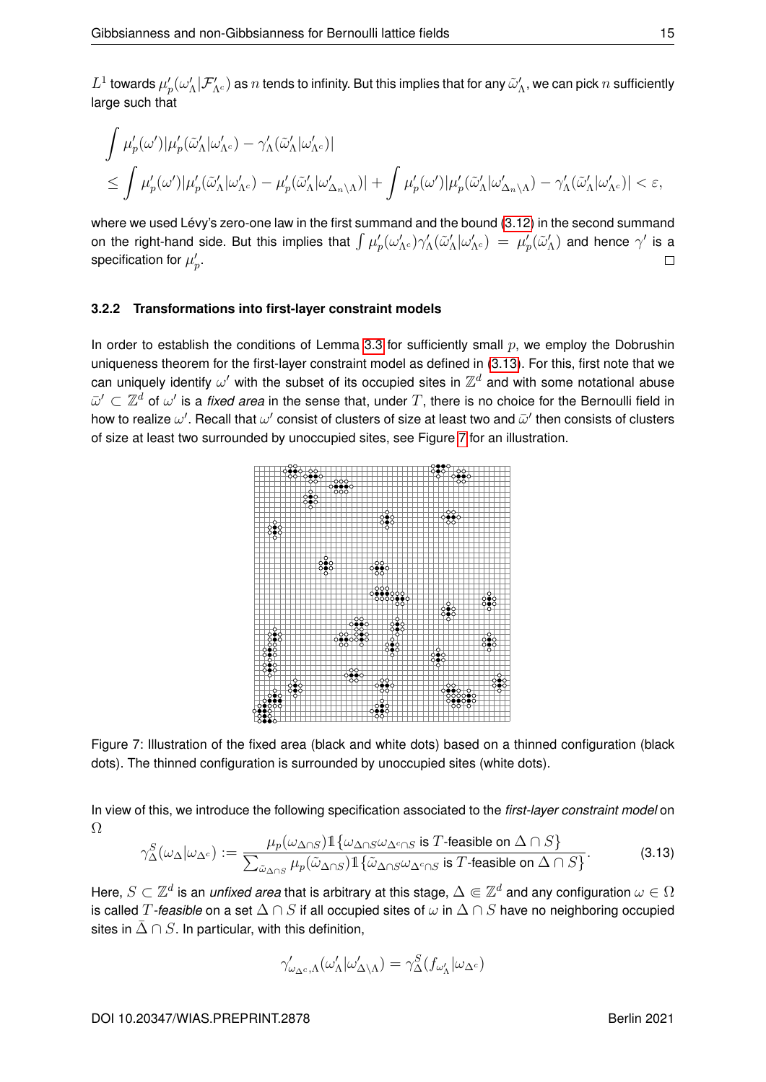$L^1$  towards  $\mu_p'(\omega_\Lambda'|\mathcal F_{\Lambda^c}')$  as  $n$  tends to infinity. But this implies that for any  $\tilde\omega_\Lambda'$ , we can pick  $n$  sufficiently large such that

$$
\begin{aligned} &\int \mu'_p(\omega')|\mu'_p(\tilde{\omega}'_\Lambda|\omega'_{\Lambda^c})-\gamma'_\Lambda(\tilde{\omega}'_\Lambda|\omega'_{\Lambda^c})|\\ &\leq \int \mu'_p(\omega')|\mu'_p(\tilde{\omega}'_\Lambda|\omega'_{\Lambda^c})-\mu'_p(\tilde{\omega}'_\Lambda|\omega'_{\Delta_n\backslash\Lambda})|+\int \mu'_p(\omega')|\mu'_p(\tilde{\omega}'_\Lambda|\omega'_{\Delta_n\backslash\Lambda})-\gamma'_\Lambda(\tilde{\omega}'_\Lambda|\omega'_{\Lambda^c})|<\varepsilon,\end{aligned}
$$

where we used Lévy's zero-one law in the first summand and the bound [\(3.12\)](#page-15-0) in the second summand on the right-hand side. But this implies that  $\int \mu'_p(\omega'_{\Lambda^c})\gamma'_\Lambda(\tilde\omega'_\Lambda|\omega'_{\Lambda^c})\ =\ \mu'_p(\tilde\omega'_\Lambda)$  and hence  $\gamma'$  is a specification for  $\mu_p'$ .  $\Box$ 

#### **3.2.2 Transformations into first-layer constraint models**

<span id="page-16-1"></span>In order to establish the conditions of Lemma [3.3](#page-15-1) for sufficiently small  $p$ , we employ the Dobrushin uniqueness theorem for the first-layer constraint model as defined in [\(3.13\)](#page-16-0). For this, first note that we can uniquely identify  $\omega'$  with the subset of its occupied sites in  $\mathbb{Z}^d$  and with some notational abuse  $\bar{\omega}'\subset\mathbb{Z}^d$  of  $\omega'$  is a *fixed area* in the sense that, under  $T,$  there is no choice for the Bernoulli field in how to realize  $\omega'$ . Recall that  $\omega'$  consist of clusters of size at least two and  $\bar{\omega}'$  then consists of clusters of size at least two surrounded by unoccupied sites, see Figure [7](#page-16-1) for an illustration.



Figure 7: Illustration of the fixed area (black and white dots) based on a thinned configuration (black dots). The thinned configuration is surrounded by unoccupied sites (white dots).

<span id="page-16-0"></span>In view of this, we introduce the following specification associated to the *first-layer constraint model* on Ω

$$
\gamma_{\Delta}^{S}(\omega_{\Delta}|\omega_{\Delta^c}) := \frac{\mu_p(\omega_{\Delta \cap S}) \mathbb{1}\{\omega_{\Delta \cap S} \omega_{\Delta^c \cap S} \text{ is } T \text{-feasible on } \Delta \cap S\}}{\sum_{\tilde{\omega}_{\Delta \cap S}} \mu_p(\tilde{\omega}_{\Delta \cap S}) \mathbb{1}\{\tilde{\omega}_{\Delta \cap S} \omega_{\Delta^c \cap S} \text{ is } T \text{-feasible on } \Delta \cap S\}}.
$$
(3.13)

Here,  $S\subset\Z^d$  is an *unfixed area* that is arbitrary at this stage,  $\Delta\Subset\Z^d$  and any configuration  $\omega\in\Omega$ is called T-feasible on a set  $\Delta \cap S$  if all occupied sites of  $\omega$  in  $\Delta \cap S$  have no neighboring occupied sites in  $\bar{\Delta} \cap S$ . In particular, with this definition,

$$
\gamma_{\omega_{\Delta^c},\Lambda}'(\omega_\Lambda'|\omega_{\Delta\backslash\Lambda}')=\gamma_\Delta^S(f_{\omega_\Lambda'}|\omega_{\Delta^c})
$$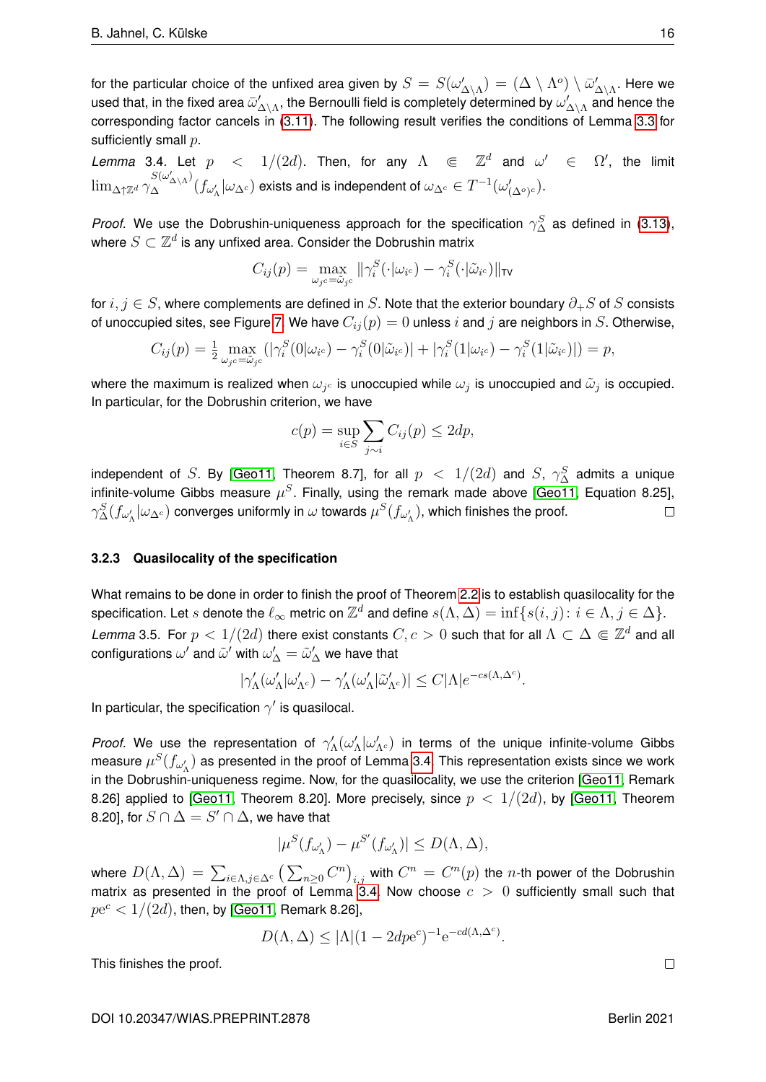for the particular choice of the unfixed area given by  $S=S(\omega'_{\Delta\setminus\Lambda})=(\Delta\setminus\Lambda^o)\setminus\bar{\omega}'_{\Delta\setminus\Lambda}.$  Here we used that, in the fixed area  $\bar{\omega}'_{\Delta\setminus\Lambda}$ , the Bernoulli field is completely determined by  $\omega'_{\Delta\setminus\Lambda}$  and hence the corresponding factor cancels in [\(3.11\)](#page-15-2). The following result verifies the conditions of Lemma [3.3](#page-15-1) for sufficiently small  $p$ .

<span id="page-17-0"></span>Lemma 3.4. Let  $p \leq 1/(2d)$ . Then, for any  $\Lambda \in \mathbb{Z}^d$  and  $\omega' \in \Omega'$ , the limit  $\lim_{\Delta\uparrow\mathbb{Z}^d}\gamma_\Delta^{S(\omega'_{\Delta\setminus\Lambda})}(f_{\omega'_\Lambda}|\omega_{\Delta^c})$  exists and is independent of  $\omega_{\Delta^c}\in T^{-1}(\omega'_{(\Delta^o)^c}).$ 

*Proof.* We use the Dobrushin-uniqueness approach for the specification  $\gamma_{\Delta}^{S}$  as defined in [\(3.13\)](#page-16-0), where  $S \subset \mathbb{Z}^d$  is any unfixed area. Consider the Dobrushin matrix

$$
C_{ij}(p) = \max_{\omega_{j}c = \tilde{\omega}_{j}c} ||\gamma_i^S(\cdot|\omega_{i}c) - \gamma_i^S(\cdot|\tilde{\omega}_{i}c)||_{\text{TV}}
$$

for  $i, j \in S$ , where complements are defined in S. Note that the exterior boundary  $\partial_+ S$  of S consists of unoccupied sites, see Figure [7.](#page-16-1) We have  $C_{ij}(p) = 0$  unless i and j are neighbors in S. Otherwise,

$$
C_{ij}(p) = \frac{1}{2} \max_{\omega_{j}c = \tilde{\omega}_{j}c} (|\gamma_i^S(0|\omega_{i}c) - \gamma_i^S(0|\tilde{\omega}_{i}c)| + |\gamma_i^S(1|\omega_{i}c) - \gamma_i^S(1|\tilde{\omega}_{i}c)|) = p,
$$

where the maximum is realized when  $\omega_{j^c}$  is unoccupied while  $\omega_j$  is unoccupied and  $\tilde{\omega}_j$  is occupied. In particular, for the Dobrushin criterion, we have

$$
c(p) = \sup_{i \in S} \sum_{j \sim i} C_{ij}(p) \le 2dp,
$$

independent of S. By [\[Geo11,](#page-18-17) Theorem 8.7], for all  $p~<~1/(2d)$  and  $S,~\gamma_{\Delta}^S$  admits a unique infinite-volume Gibbs measure  $\mu^S$ . Finally, using the remark made above [\[Geo11,](#page-18-17) Equation 8.25],  $\gamma^S_\Delta(f_{\omega'_\Lambda}|\omega_{\Delta^c})$  converges uniformly in  $\omega$  towards  $\mu^S(f_{\omega'_\Lambda})$ , which finishes the proof.  $\Box$ 

### **3.2.3 Quasilocality of the specification**

What remains to be done in order to finish the proof of Theorem [2.2](#page-5-1) is to establish quasilocality for the specification. Let  $s$  denote the  $\ell_{\infty}$  metric on  $\mathbb{Z}^d$  and define  $s(\Lambda,\Delta)=\inf\{s(i,j)\colon i\in\Lambda, j\in\Delta\}.$ *Lemma* 3.5. For  $p < 1/(2d)$  there exist constants  $C, c > 0$  such that for all  $\Lambda \subset \Delta \Subset \mathbb{Z}^d$  and all configurations  $\omega'$  and  $\tilde{\omega}'$  with  $\omega'_\Delta = \tilde{\omega}'_\Delta$  we have that

$$
|\gamma_\Lambda'(\omega_\Lambda'|\omega_{\Lambda^c}')-\gamma_\Lambda'(\omega_\Lambda'|\tilde{\omega}_{\Lambda^c}')|\leq C|\Lambda|e^{-cs(\Lambda,\Delta^c)}.
$$

In particular, the specification  $\gamma'$  is quasilocal.

*Proof.* We use the representation of  $\gamma'_{\Lambda}(\omega'_{\Lambda}|\omega'_{\Lambda^c})$  in terms of the unique infinite-volume Gibbs measure  $\mu^S(f_{\omega'_\Lambda})$  as presented in the proof of Lemma [3.4.](#page-17-0) This representation exists since we work in the Dobrushin-uniqueness regime. Now, for the quasilocality, we use the criterion [\[Geo11,](#page-18-17) Remark 8.26] applied to [\[Geo11,](#page-18-17) Theorem 8.20]. More precisely, since  $p < 1/(2d)$ , by [Geo11, Theorem 8.20], for  $S \cap \Delta = S' \cap \Delta$ , we have that

$$
|\mu^S(f_{\omega'_\Lambda}) - \mu^{S'}(f_{\omega'_\Lambda})| \le D(\Lambda, \Delta),
$$

where  $D(\Lambda,\Delta)=\sum_{i\in\Lambda,j\in\Delta^c}\big(\sum_{n\geq 0}C^n\big)_{i,j}$  with  $C^n\,=\,C^n(p)$  the  $n$ -th power of the Dobrushin matrix as presented in the proof of Lemma [3.4.](#page-17-0) Now choose  $c > 0$  sufficiently small such that  $p\mathrm{e}^{c} < 1/(2d)$ , then, by [\[Geo11,](#page-18-17) Remark 8.26],

$$
D(\Lambda, \Delta) \le |\Lambda| (1 - 2dpe^c)^{-1} e^{-cd(\Lambda, \Delta^c)}.
$$

This finishes the proof.

DOI 10.20347/WIAS.PREPRINT.2878 Berlin 2021

 $\Box$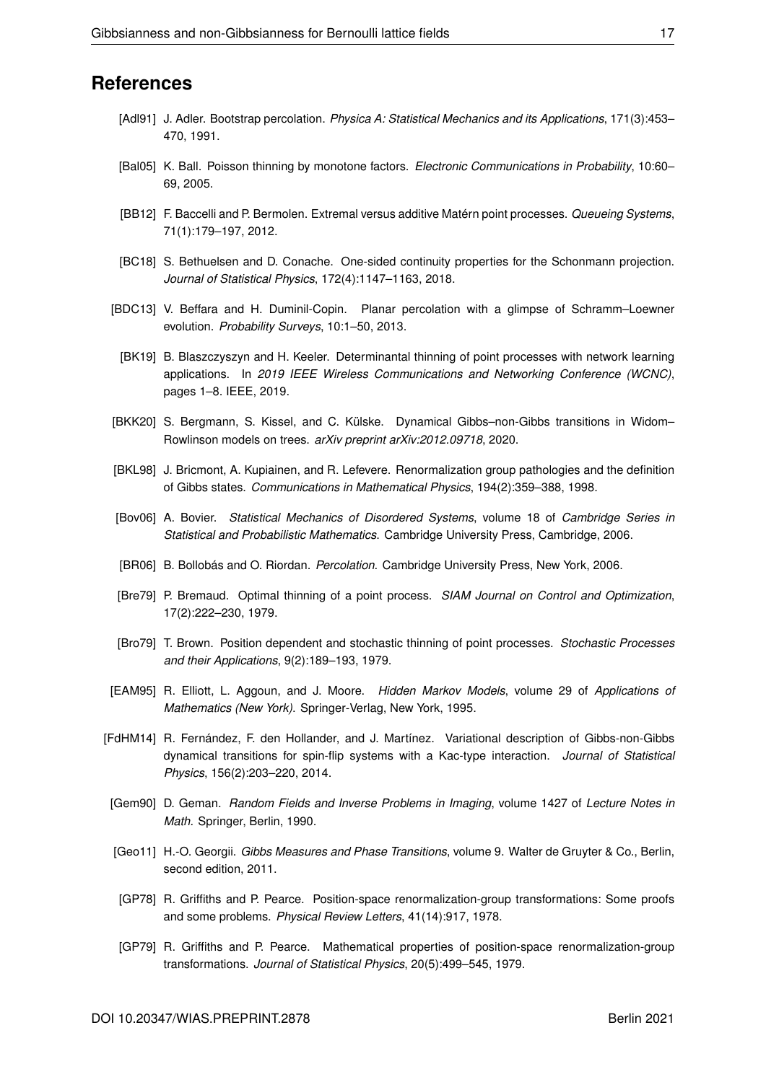## **References**

- <span id="page-18-13"></span>[Adl91] J. Adler. Bootstrap percolation. *Physica A: Statistical Mechanics and its Applications*, 171(3):453– 470, 1991.
- <span id="page-18-2"></span>[Bal05] K. Ball. Poisson thinning by monotone factors. *Electronic Communications in Probability*, 10:60– 69, 2005.
- <span id="page-18-16"></span>[BB12] F. Baccelli and P. Bermolen. Extremal versus additive Matérn point processes. *Queueing Systems*, 71(1):179–197, 2012.
- <span id="page-18-9"></span>[BC18] S. Bethuelsen and D. Conache. One-sided continuity properties for the Schonmann projection. *Journal of Statistical Physics*, 172(4):1147–1163, 2018.
- <span id="page-18-15"></span>[BDC13] V. Beffara and H. Duminil-Copin. Planar percolation with a glimpse of Schramm–Loewner evolution. *Probability Surveys*, 10:1–50, 2013.
- <span id="page-18-3"></span>[BK19] B. Blaszczyszyn and H. Keeler. Determinantal thinning of point processes with network learning applications. In *2019 IEEE Wireless Communications and Networking Conference (WCNC)*, pages 1–8. IEEE, 2019.
- <span id="page-18-10"></span>[BKK20] S. Bergmann, S. Kissel, and C. Külske. Dynamical Gibbs–non-Gibbs transitions in Widom– Rowlinson models on trees. *arXiv preprint arXiv:2012.09718*, 2020.
- <span id="page-18-8"></span>[BKL98] J. Bricmont, A. Kupiainen, and R. Lefevere. Renormalization group pathologies and the definition of Gibbs states. *Communications in Mathematical Physics*, 194(2):359–388, 1998.
- <span id="page-18-12"></span>[Bov06] A. Bovier. *Statistical Mechanics of Disordered Systems*, volume 18 of *Cambridge Series in Statistical and Probabilistic Mathematics*. Cambridge University Press, Cambridge, 2006.
- <span id="page-18-14"></span>[BR06] B. Bollobás and O. Riordan. *Percolation*. Cambridge University Press, New York, 2006.
- <span id="page-18-0"></span>[Bre79] P. Bremaud. Optimal thinning of a point process. *SIAM Journal on Control and Optimization*, 17(2):222–230, 1979.
- <span id="page-18-1"></span>[Bro79] T. Brown. Position dependent and stochastic thinning of point processes. *Stochastic Processes and their Applications*, 9(2):189–193, 1979.
- <span id="page-18-7"></span>[EAM95] R. Elliott, L. Aggoun, and J. Moore. *Hidden Markov Models*, volume 29 of *Applications of Mathematics (New York)*. Springer-Verlag, New York, 1995.
- <span id="page-18-11"></span>[FdHM14] R. Fernández, F. den Hollander, and J. Martínez. Variational description of Gibbs-non-Gibbs dynamical transitions for spin-flip systems with a Kac-type interaction. *Journal of Statistical Physics*, 156(2):203–220, 2014.
- <span id="page-18-4"></span>[Gem90] D. Geman. *Random Fields and Inverse Problems in Imaging*, volume 1427 of *Lecture Notes in Math.* Springer, Berlin, 1990.
- <span id="page-18-17"></span>[Geo11] H.-O. Georgii. *Gibbs Measures and Phase Transitions*, volume 9. Walter de Gruyter & Co., Berlin, second edition, 2011.
- <span id="page-18-5"></span>[GP78] R. Griffiths and P. Pearce. Position-space renormalization-group transformations: Some proofs and some problems. *Physical Review Letters*, 41(14):917, 1978.
- <span id="page-18-6"></span>[GP79] R. Griffiths and P. Pearce. Mathematical properties of position-space renormalization-group transformations. *Journal of Statistical Physics*, 20(5):499–545, 1979.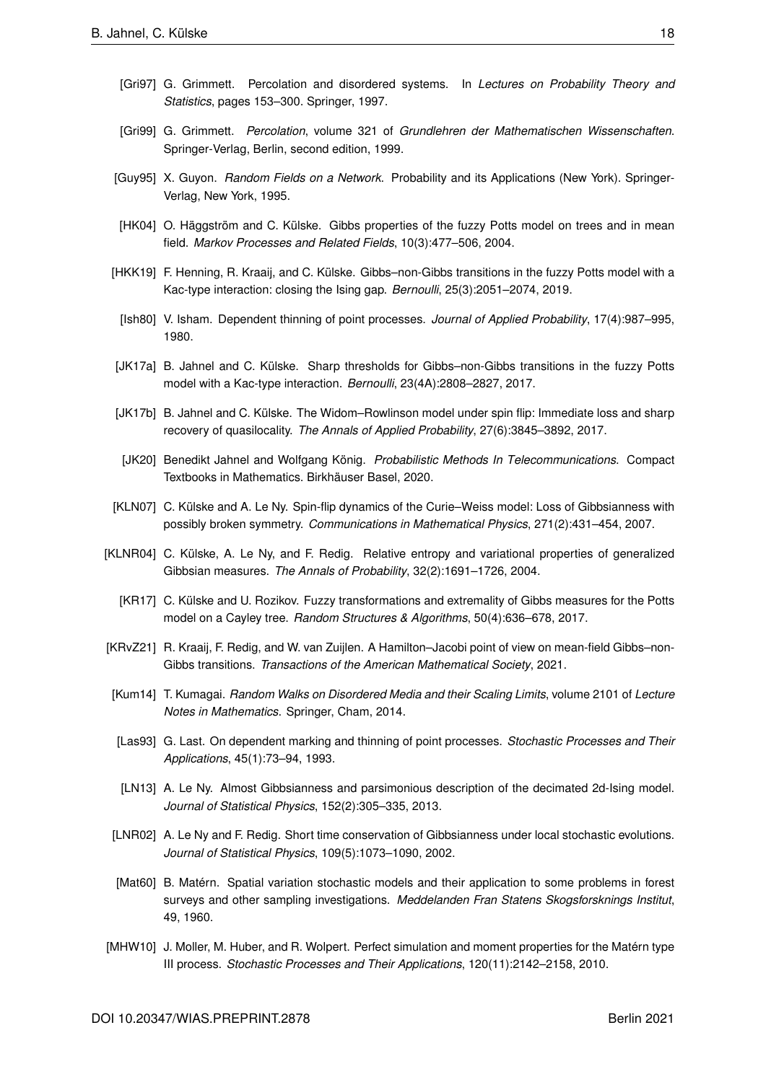- <span id="page-19-14"></span>[Gri97] G. Grimmett. Percolation and disordered systems. In *Lectures on Probability Theory and Statistics*, pages 153–300. Springer, 1997.
- <span id="page-19-13"></span>[Gri99] G. Grimmett. *Percolation*, volume 321 of *Grundlehren der Mathematischen Wissenschaften*. Springer-Verlag, Berlin, second edition, 1999.
- <span id="page-19-2"></span>[Guy95] X. Guyon. *Random Fields on a Network*. Probability and its Applications (New York). Springer-Verlag, New York, 1995.
- <span id="page-19-5"></span>[HK04] O. Häggström and C. Külske. Gibbs properties of the fuzzy Potts model on trees and in mean field. *Markov Processes and Related Fields*, 10(3):477–506, 2004.
- <span id="page-19-9"></span>[HKK19] F. Henning, R. Kraaij, and C. Külske. Gibbs–non-Gibbs transitions in the fuzzy Potts model with a Kac-type interaction: closing the Ising gap. *Bernoulli*, 25(3):2051–2074, 2019.
- <span id="page-19-0"></span>[Ish80] V. Isham. Dependent thinning of point processes. *Journal of Applied Probability*, 17(4):987–995, 1980.
- <span id="page-19-8"></span>[JK17a] B. Jahnel and C. Külske. Sharp thresholds for Gibbs–non-Gibbs transitions in the fuzzy Potts model with a Kac-type interaction. *Bernoulli*, 23(4A):2808–2827, 2017.
- <span id="page-19-6"></span>[JK17b] B. Jahnel and C. Külske. The Widom–Rowlinson model under spin flip: Immediate loss and sharp recovery of quasilocality. *The Annals of Applied Probability*, 27(6):3845–3892, 2017.
- <span id="page-19-16"></span>[JK20] Benedikt Jahnel and Wolfgang König. *Probabilistic Methods In Telecommunications*. Compact Textbooks in Mathematics. Birkhäuser Basel, 2020.
- <span id="page-19-11"></span>[KLN07] C. Külske and A. Le Ny. Spin-flip dynamics of the Curie–Weiss model: Loss of Gibbsianness with possibly broken symmetry. *Communications in Mathematical Physics*, 271(2):431–454, 2007.
- <span id="page-19-7"></span><span id="page-19-4"></span>[KLNR04] C. Külske, A. Le Ny, and F. Redig. Relative entropy and variational properties of generalized Gibbsian measures. *The Annals of Probability*, 32(2):1691–1726, 2004.
	- [KR17] C. Külske and U. Rozikov. Fuzzy transformations and extremality of Gibbs measures for the Potts model on a Cayley tree. *Random Structures & Algorithms*, 50(4):636–678, 2017.
- <span id="page-19-12"></span>[KRvZ21] R. Kraaij, F. Redig, and W. van Zuijlen. A Hamilton–Jacobi point of view on mean-field Gibbs–non-Gibbs transitions. *Transactions of the American Mathematical Society*, 2021.
- <span id="page-19-15"></span>[Kum14] T. Kumagai. *Random Walks on Disordered Media and their Scaling Limits*, volume 2101 of *Lecture Notes in Mathematics*. Springer, Cham, 2014.
- <span id="page-19-1"></span>[Las93] G. Last. On dependent marking and thinning of point processes. *Stochastic Processes and Their Applications*, 45(1):73–94, 1993.
- <span id="page-19-3"></span>[LN13] A. Le Ny. Almost Gibbsianness and parsimonious description of the decimated 2d-Ising model. *Journal of Statistical Physics*, 152(2):305–335, 2013.
- <span id="page-19-10"></span>[LNR02] A. Le Ny and F. Redig. Short time conservation of Gibbsianness under local stochastic evolutions. *Journal of Statistical Physics*, 109(5):1073–1090, 2002.
- <span id="page-19-17"></span>[Mat60] B. Matérn. Spatial variation stochastic models and their application to some problems in forest surveys and other sampling investigations. *Meddelanden Fran Statens Skogsforsknings Institut*, 49, 1960.
- <span id="page-19-18"></span>[MHW10] J. Moller, M. Huber, and R. Wolpert. Perfect simulation and moment properties for the Matérn type III process. *Stochastic Processes and Their Applications*, 120(11):2142–2158, 2010.